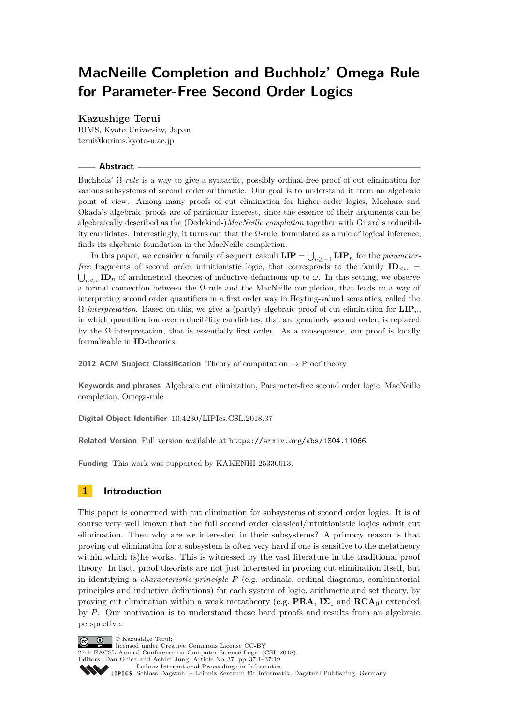# <span id="page-0-0"></span>**MacNeille Completion and Buchholz' Omega Rule for Parameter-Free Second Order Logics**

## **Kazushige Terui**

RIMS, Kyoto University, Japan [terui@kurims.kyoto-u.ac.jp](mailto:terui@kurims.kyoto-u.ac.jp)

## **Abstract**

Buchholz' Ω*-rule* is a way to give a syntactic, possibly ordinal-free proof of cut elimination for various subsystems of second order arithmetic. Our goal is to understand it from an algebraic point of view. Among many proofs of cut elimination for higher order logics, Maehara and Okada's algebraic proofs are of particular interest, since the essence of their arguments can be algebraically described as the (Dedekind-)*MacNeille completion* together with Girard's reducibility candidates. Interestingly, it turns out that the Ω-rule, formulated as a rule of logical inference, finds its algebraic foundation in the MacNeille completion.

In this paper, we consider a family of sequent calculi  $\textbf{LIP} = \bigcup_{n \geq -1} \textbf{LIP}_n$  for the *parameterfree* fragments of second order intuitionistic logic, that corresponds to the family  $\mathbf{ID}_{\leq \omega}$  =  $\bigcup_{n<\omega}$  **ID**<sub>n</sub> of arithmetical theories of inductive definitions up to  $\omega$ . In this setting, we observe a formal connection between the Ω-rule and the MacNeille completion, that leads to a way of interpreting second order quantifiers in a first order way in Heyting-valued semantics, called the  $\Omega$ -interpretation. Based on this, we give a (partly) algebraic proof of cut elimination for  $\mathbf{LIP}_n$ . in which quantification over reducibility candidates, that are genuinely second order, is replaced by the Ω-interpretation, that is essentially first order. As a consequence, our proof is locally formalizable in **ID**-theories.

**2012 ACM Subject Classification** Theory of computation  $\rightarrow$  Proof theory

**Keywords and phrases** Algebraic cut elimination, Parameter-free second order logic, MacNeille completion, Omega-rule

**Digital Object Identifier** [10.4230/LIPIcs.CSL.2018.37](http://dx.doi.org/10.4230/LIPIcs.CSL.2018.37)

**Related Version** Full version available at <https://arxiv.org/abs/1804.11066>.

**Funding** This work was supported by KAKENHI 25330013.

# **1 Introduction**

This paper is concerned with cut elimination for subsystems of second order logics. It is of course very well known that the full second order classical/intuitionistic logics admit cut elimination. Then why are we interested in their subsystems? A primary reason is that proving cut elimination for a subsystem is often very hard if one is sensitive to the metatheory within which (s)he works. This is witnessed by the vast literature in the traditional proof theory. In fact, proof theorists are not just interested in proving cut elimination itself, but in identifying a *characteristic principle P* (e.g. ordinals, ordinal diagrams, combinatorial principles and inductive definitions) for each system of logic, arithmetic and set theory, by proving cut elimination within a weak metatheory (e.g. **PRA**,  $I\Sigma_1$  and  $RCA_0$ ) extended by *P*. Our motivation is to understand those hard proofs and results from an algebraic perspective.

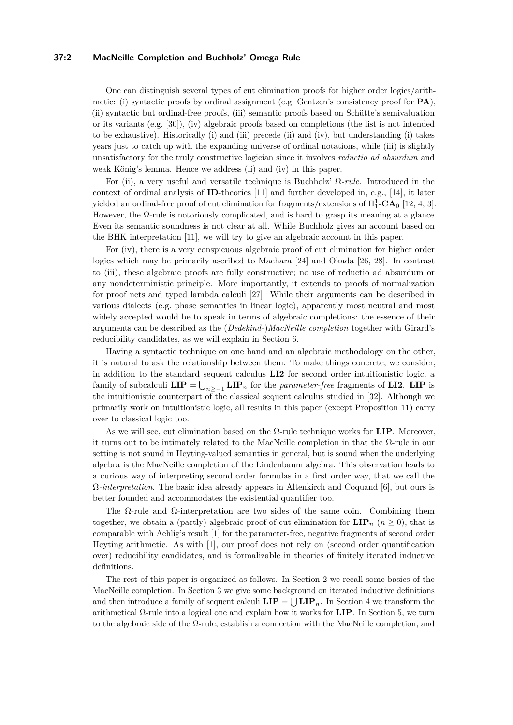## **37:2 MacNeille Completion and Buchholz' Omega Rule**

One can distinguish several types of cut elimination proofs for higher order logics/arithmetic: (i) syntactic proofs by ordinal assignment (e.g. Gentzen's consistency proof for **PA**), (ii) syntactic but ordinal-free proofs, (iii) semantic proofs based on Schütte's semivaluation or its variants (e.g. [\[30\]](#page-16-0)), (iv) algebraic proofs based on completions (the list is not intended to be exhaustive). Historically (i) and (iii) precede (ii) and (iv), but understanding (i) takes years just to catch up with the expanding universe of ordinal notations, while (iii) is slightly unsatisfactory for the truly constructive logician since it involves *reductio ad absurdum* and weak König's lemma. Hence we address (ii) and (iv) in this paper.

For (ii), a very useful and versatile technique is Buchholz' Ω*-rule*. Introduced in the context of ordinal analysis of **ID**-theories [\[11\]](#page-15-0) and further developed in, e.g., [\[14\]](#page-16-1), it later yielded an ordinal-free proof of cut elimination for fragments/extensions of  $\Pi_1^1$ **-CA**<sub>0</sub> [\[12,](#page-15-1) [4,](#page-15-2) [3\]](#page-15-3). However, the  $\Omega$ -rule is notoriously complicated, and is hard to grasp its meaning at a glance. Even its semantic soundness is not clear at all. While Buchholz gives an account based on the BHK interpretation [\[11\]](#page-15-0), we will try to give an algebraic account in this paper.

For (iv), there is a very conspicuous algebraic proof of cut elimination for higher order logics which may be primarily ascribed to Maehara [\[24\]](#page-16-2) and Okada [\[26,](#page-16-3) [28\]](#page-16-4). In contrast to (iii), these algebraic proofs are fully constructive; no use of reductio ad absurdum or any nondeterministic principle. More importantly, it extends to proofs of normalization for proof nets and typed lambda calculi [\[27\]](#page-16-5). While their arguments can be described in various dialects (e.g. phase semantics in linear logic), apparently most neutral and most widely accepted would be to speak in terms of algebraic completions: the essence of their arguments can be described as the (*Dedekind*-)*MacNeille completion* together with Girard's reducibility candidates, as we will explain in Section 6.

Having a syntactic technique on one hand and an algebraic methodology on the other, it is natural to ask the relationship between them. To make things concrete, we consider, in addition to the standard sequent calculus **LI2** for second order intuitionistic logic, a family of subcalculi  $\textbf{LIP} = \bigcup_{n \geq -1} \textbf{LIP}_n$  for the *parameter-free* fragments of  $\textbf{LI2}$ .  $\textbf{LIP}$  is the intuitionistic counterpart of the classical sequent calculus studied in [\[32\]](#page-16-6). Although we primarily work on intuitionistic logic, all results in this paper (except Proposition [11\)](#page-11-0) carry over to classical logic too.

As we will see, cut elimination based on the  $\Omega$ -rule technique works for **LIP**. Moreover, it turns out to be intimately related to the MacNeille completion in that the Ω-rule in our setting is not sound in Heyting-valued semantics in general, but is sound when the underlying algebra is the MacNeille completion of the Lindenbaum algebra. This observation leads to a curious way of interpreting second order formulas in a first order way, that we call the Ω*-interpretation*. The basic idea already appears in Altenkirch and Coquand [\[6\]](#page-15-4), but ours is better founded and accommodates the existential quantifier too.

The  $\Omega$ -rule and  $\Omega$ -interpretation are two sides of the same coin. Combining them together, we obtain a (partly) algebraic proof of cut elimination for  $\text{LIP}_n$  ( $n \geq 0$ ), that is comparable with Aehlig's result [\[1\]](#page-15-5) for the parameter-free, negative fragments of second order Heyting arithmetic. As with [\[1\]](#page-15-5), our proof does not rely on (second order quantification over) reducibility candidates, and is formalizable in theories of finitely iterated inductive definitions.

The rest of this paper is organized as follows. In Section 2 we recall some basics of the MacNeille completion. In Section 3 we give some background on iterated inductive definitions and then introduce a family of sequent calculi  $\mathbf{LIP} = \bigcup \mathbf{LIP}_n$ . In Section 4 we transform the arithmetical Ω-rule into a logical one and explain how it works for **LIP**. In Section 5, we turn to the algebraic side of the  $\Omega$ -rule, establish a connection with the MacNeille completion, and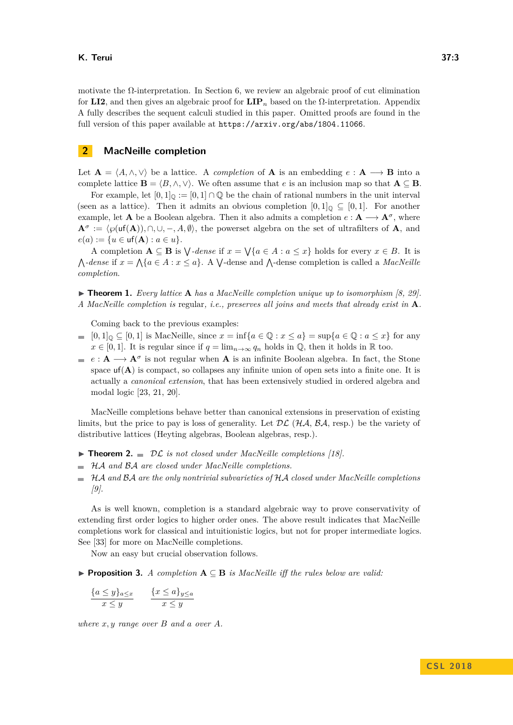motivate the  $\Omega$ -interpretation. In Section 6, we review an algebraic proof of cut elimination for **LI2**, and then gives an algebraic proof for **LIP***<sup>n</sup>* based on the Ω-interpretation. Appendix A fully describes the sequent calculi studied in this paper. Omitted proofs are found in the full version of this paper available at <https://arxiv.org/abs/1804.11066>.

## **2 MacNeille completion**

Let  $\mathbf{A} = \langle A, \wedge, \vee \rangle$  be a lattice. A *completion* of **A** is an embedding  $e : \mathbf{A} \longrightarrow \mathbf{B}$  into a complete lattice  $\mathbf{B} = \langle B, \wedge, \vee \rangle$ . We often assume that *e* is an inclusion map so that  $\mathbf{A} \subseteq \mathbf{B}$ .

For example, let  $[0,1]_0 := [0,1] \cap \mathbb{Q}$  be the chain of rational numbers in the unit interval (seen as a lattice). Then it admits an obvious completion  $[0,1]_0 \subseteq [0,1]$ . For another example, let **A** be a Boolean algebra. Then it also admits a completion  $e: \mathbf{A} \longrightarrow \mathbf{A}^{\sigma}$ , where  $A^{\sigma} := \langle \wp(\text{uf}(A)), \cap, \cup, -, A, \emptyset \rangle$ , the powerset algebra on the set of ultrafilters of **A**, and  $e(a) := \{u \in \text{uf}(\mathbf{A}) : a \in u\}.$ 

A completion  $A \subseteq B$  is  $\bigvee$ -dense if  $x = \bigvee \{a \in A : a \leq x\}$  holds for every  $x \in B$ . It is  $\bigwedge$ -dense if  $x = \bigwedge$  { $a \in A : x \le a$  }. A  $\bigvee$ -dense and  $\bigwedge$ -dense completion is called a *MacNeille completion*.

 $\triangleright$  **Theorem 1.** *Every lattice* **A** *has a MacNeille completion unique up to isomorphism [\[8,](#page-15-6) [29\]](#page-16-7). A MacNeille completion is* regular*, i.e., preserves all joins and meets that already exist in* **A***.*

Coming back to the previous examples:

- $[0,1]_0 \subseteq [0,1]$  is MacNeille, since  $x = \inf\{a \in \mathbb{Q} : x \le a\} = \sup\{a \in \mathbb{Q} : a \le x\}$  for any  $\blacksquare$  $x \in [0, 1]$ . It is regular since if  $q = \lim_{n \to \infty} q_n$  holds in  $\mathbb{Q}$ , then it holds in  $\mathbb{R}$  too.
- $e: \mathbf{A} \longrightarrow \mathbf{A}^{\sigma}$  is not regular when **A** is an infinite Boolean algebra. In fact, the Stone space  $\text{uf}(\mathbf{A})$  is compact, so collapses any infinite union of open sets into a finite one. It is actually a *canonical extension*, that has been extensively studied in ordered algebra and modal logic [\[23,](#page-16-8) [21,](#page-16-9) [20\]](#page-16-10).

MacNeille completions behave better than canonical extensions in preservation of existing limits, but the price to pay is loss of generality. Let  $\mathcal{DL}(\mathcal{HA}, \mathcal{BA}, \text{resp.})$  be the variety of distributive lattices (Heyting algebras, Boolean algebras, resp.).

- $\triangleright$  **Theorem 2.**  $\blacksquare$  *DL is not closed under MacNeille completions [\[18\]](#page-16-11).*
- HA *and* BA *are closed under MacNeille completions.*
- HA *and* BA *are the only nontrivial subvarieties of* HA *closed under MacNeille completions*  $\sim$ *[\[9\]](#page-15-7).*

As is well known, completion is a standard algebraic way to prove conservativity of extending first order logics to higher order ones. The above result indicates that MacNeille completions work for classical and intuitionistic logics, but not for proper intermediate logics. See [\[33\]](#page-16-12) for more on MacNeille completions.

Now an easy but crucial observation follows.

<span id="page-2-0"></span>I **Proposition 3.** *A completion* **A** ⊆ **B** *is MacNeille iff the rules below are valid:*

$$
\frac{\{a\leq y\}_{a\leq x}}{x\leq y} \qquad \frac{\{x\leq a\}_{y\leq a}}{x\leq y}
$$

*where x, y range over B and a over A.*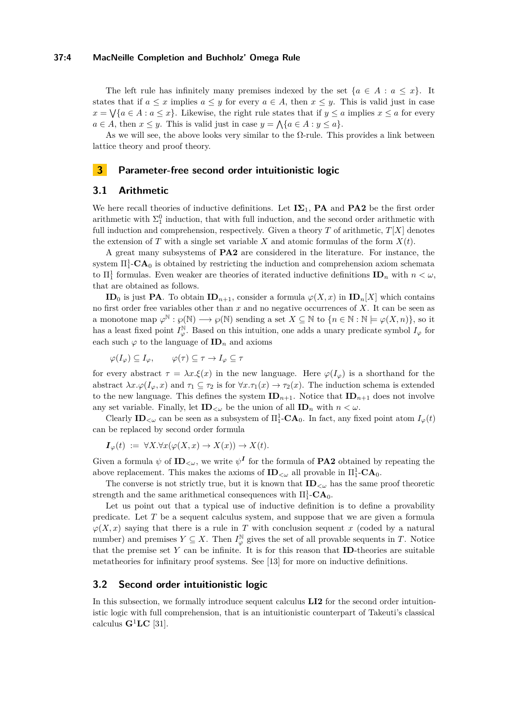#### **37:4 MacNeille Completion and Buchholz' Omega Rule**

The left rule has infinitely many premises indexed by the set  $\{a \in A : a \leq x\}$ . It states that if  $a \leq x$  implies  $a \leq y$  for every  $a \in A$ , then  $x \leq y$ . This is valid just in case  $x = \sqrt{a \in A : a \leq x}$ . Likewise, the right rule states that if  $y \leq a$  implies  $x \leq a$  for every  $a \in A$ , then  $x \leq y$ . This is valid just in case  $y = \bigwedge \{a \in A : y \leq a\}.$ 

As we will see, the above looks very similar to the  $\Omega$ -rule. This provides a link between lattice theory and proof theory.

## **3 Parameter-free second order intuitionistic logic**

## **3.1 Arithmetic**

We here recall theories of inductive definitions. Let  $I\Sigma_1$ , **PA** and **PA2** be the first order arithmetic with  $\Sigma_1^0$  induction, that with full induction, and the second order arithmetic with full induction and comprehension, respectively. Given a theory  $T$  of arithmetic,  $T[X]$  denotes the extension of *T* with a single set variable *X* and atomic formulas of the form  $X(t)$ .

A great many subsystems of **PA2** are considered in the literature. For instance, the system  $\Pi_1^1$ **-CA**<sup>0</sup> is obtained by restricting the induction and comprehension axiom schemata to  $\Pi_1^1$  formulas. Even weaker are theories of iterated inductive definitions  $\mathbf{ID}_n$  with  $n < \omega$ , that are obtained as follows.

**ID**<sub>0</sub> is just **PA**. To obtain **ID**<sub>*n*+1</sub>, consider a formula  $\varphi(X, x)$  in **ID**<sub>*n*</sub>[*X*] which contains no first order free variables other than *x* and no negative occurrences of *X*. It can be seen as a monotone map  $\varphi^{\mathbb{N}} : \varphi(\mathbb{N}) \longrightarrow \varphi(\mathbb{N})$  sending a set  $X \subseteq \mathbb{N}$  to  $\{n \in \mathbb{N} : \mathbb{N} \models \varphi(X, n)\},$  so it has a least fixed point  $I_{\varphi}^{\mathbb{N}}$ . Based on this intuition, one adds a unary predicate symbol  $I_{\varphi}$  for each such  $\varphi$  to the language of  $\mathbf{ID}_n$  and axioms

 $\varphi(I_{\varphi}) \subseteq I_{\varphi}, \qquad \varphi(\tau) \subseteq \tau \to I_{\varphi} \subseteq \tau$ 

for every abstract  $\tau = \lambda x.\xi(x)$  in the new language. Here  $\varphi(I_{\varphi})$  is a shorthand for the abstract  $\lambda x.\varphi(I_{\varphi},x)$  and  $\tau_1 \subseteq \tau_2$  is for  $\forall x.\tau_1(x) \to \tau_2(x)$ . The induction schema is extended to the new language. This defines the system  $ID_{n+1}$ . Notice that  $ID_{n+1}$  does not involve any set variable. Finally, let  $\mathbf{ID}_{\leq \omega}$  be the union of all  $\mathbf{ID}_n$  with  $n < \omega$ .

Clearly  $\mathbf{ID}_{<\omega}$  can be seen as a subsystem of  $\Pi_1^1$ - $\mathbf{CA}_0$ . In fact, any fixed point atom  $I_{\varphi}(t)$ can be replaced by second order formula

$$
I_{\varphi}(t) := \forall X. \forall x (\varphi(X, x) \to X(x)) \to X(t).
$$

Given a formula  $\psi$  of  $ID_{\leq \omega}$ , we write  $\psi^I$  for the formula of **PA2** obtained by repeating the above replacement. This makes the axioms of  $ID_{\lt \omega}$  all provable in  $\Pi_1^1$ -**CA**<sub>0</sub>.

The converse is not strictly true, but it is known that  $ID_{\leq \omega}$  has the same proof theoretic strength and the same arithmetical consequences with  $\Pi_1^1$ -**CA**<sub>0</sub>.

Let us point out that a typical use of inductive definition is to define a provability predicate. Let *T* be a sequent calculus system, and suppose that we are given a formula  $\varphi(X, x)$  saying that there is a rule in *T* with conclusion sequent *x* (coded by a natural number) and premises  $Y \subseteq X$ . Then  $I_{\varphi}^{\mathbb{N}}$  gives the set of all provable sequents in *T*. Notice that the premise set *Y* can be infinite. It is for this reason that **ID**-theories are suitable metatheories for infinitary proof systems. See [\[13\]](#page-15-8) for more on inductive definitions.

#### **3.2 Second order intuitionistic logic**

In this subsection, we formally introduce sequent calculus **LI2** for the second order intuitionistic logic with full comprehension, that is an intuitionistic counterpart of Takeuti's classical calculus  $\mathbf{G}^1\mathbf{LC}$  [\[31\]](#page-16-13).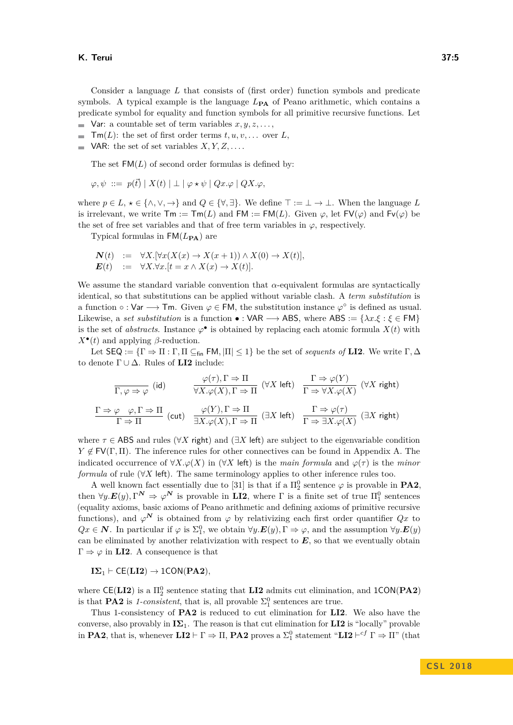Consider a language *L* that consists of (first order) function symbols and predicate symbols. A typical example is the language  $L_{\text{PA}}$  of Peano arithmetic, which contains a predicate symbol for equality and function symbols for all primitive recursive functions. Let

- Var: a countable set of term variables  $x, y, z, \ldots$ ,
- $\blacksquare$  **Tm**(*L*): the set of first order terms *t*, *u*, *v*, ... over *L*,
- $\blacksquare$  VAR: the set of set variables *X, Y, Z, ....*

The set  $FM(L)$  of second order formulas is defined by:

$$
\varphi, \psi \ ::= \ p(\vec{t}) \mid X(t) \mid \bot \mid \varphi \star \psi \mid Qx.\varphi \mid QX.\varphi,
$$

where  $p \in L$ ,  $\star \in \{\wedge, \vee, \to\}$  and  $Q \in \{\forall, \exists\}$ . We define  $\top := \bot \to \bot$ . When the language *L* is irrelevant, we write  $\mathsf{Tm} := \mathsf{Tm}(L)$  and  $\mathsf{FM} := \mathsf{FM}(L)$ . Given  $\varphi$ , let  $\mathsf{FV}(\varphi)$  and  $\mathsf{Fv}(\varphi)$  be the set of free set variables and that of free term variables in  $\varphi$ , respectively.

Typical formulas in  $FM(L_{PA})$  are

$$
\begin{array}{rcl}\n\mathbf{N}(t) & := & \forall X. [\forall x (X(x) \to X(x+1)) \land X(0) \to X(t)], \\
\mathbf{E}(t) & := & \forall X. \forall x. [t = x \land X(x) \to X(t)].\n\end{array}
$$

We assume the standard variable convention that *α*-equivalent formulas are syntactically identical, so that substitutions can be applied without variable clash. A *term substitution* is a function  $\circ : \mathsf{Var} \longrightarrow \mathsf{Tm}$ . Given  $\varphi \in \mathsf{FM}$ , the substitution instance  $\varphi^{\circ}$  is defined as usual. Likewise, a *set substitution* is a function  $\bullet$ : VAR  $\rightarrow$  ABS, where ABS := { $\lambda x.\xi : \xi \in FM$ } is the set of *abstracts*. Instance  $\varphi^{\bullet}$  is obtained by replacing each atomic formula  $X(t)$  with  $X^{\bullet}(t)$  and applying *β*-reduction.

Let  $\textsf{SEQ} := \{\Gamma \Rightarrow \Pi : \Gamma, \Pi \subseteq \text{fin } \textsf{FM}, |\Pi| \leq 1\}$  be the set of *sequents of* **LI2**. We write  $\Gamma, \Delta$ to denote Γ ∪ ∆. Rules of **LI2** include:

$$
\frac{\varphi(\tau), \Gamma \Rightarrow \Pi}{\Gamma, \varphi \Rightarrow \varphi} \text{ (id)} \qquad \frac{\varphi(\tau), \Gamma \Rightarrow \Pi}{\forall X. \varphi(X), \Gamma \Rightarrow \Pi} \text{ (}\forall X \text{ left)} \quad \frac{\Gamma \Rightarrow \varphi(Y)}{\Gamma \Rightarrow \forall X. \varphi(X)} \text{ (}\forall X \text{ right)}
$$
\n
$$
\frac{\Gamma \Rightarrow \varphi \quad \varphi, \Gamma \Rightarrow \Pi}{\Gamma \Rightarrow \Pi} \text{ (cut)} \quad \frac{\varphi(Y), \Gamma \Rightarrow \Pi}{\exists X. \varphi(X), \Gamma \Rightarrow \Pi} \text{ (}\exists X \text{ left)} \quad \frac{\Gamma \Rightarrow \varphi(\tau)}{\Gamma \Rightarrow \exists X. \varphi(X)} \text{ (}\exists X \text{ right)}
$$

where  $\tau \in \mathsf{ABS}$  and rules ( $\forall X$  right) and ( $\exists X$  left) are subject to the eigenvariable condition  $Y \notin FV(\Gamma, \Pi)$ . The inference rules for other connectives can be found in Appendix A. The indicated occurrence of  $\forall X \cdot \varphi(X)$  in ( $\forall X$  left) is the *main formula* and  $\varphi(\tau)$  is the *minor formula* of rule (∀*X* left). The same terminology applies to other inference rules too.

A well known fact essentially due to [\[31\]](#page-16-13) is that if a  $\Pi_2^0$  sentence  $\varphi$  is provable in **PA2**, then  $\forall y.\mathbf{E}(y), \Gamma^{\mathbf{N}} \Rightarrow \varphi^{\mathbf{N}}$  is provable in **LI2**, where  $\Gamma$  is a finite set of true  $\Pi_1^0$  sentences (equality axioms, basic axioms of Peano arithmetic and defining axioms of primitive recursive functions), and  $\varphi^N$  is obtained from  $\varphi$  by relativizing each first order quantifier  $Qx$  to  $Qx \in \mathbf{N}$ . In particular if  $\varphi$  is  $\Sigma_1^0$ , we obtain  $\forall y.\mathbf{E}(y), \Gamma \Rightarrow \varphi$ , and the assumption  $\forall y.\mathbf{E}(y)$ can be eliminated by another relativization with respect to *E*, so that we eventually obtain  $\Gamma \Rightarrow \varphi$  in **LI2**. A consequence is that

 $I\Sigma_1 \vdash \mathsf{CE}(\mathbf{LI2}) \rightarrow \mathsf{1CON}(\mathbf{PA2})$ *,* 

where  $\mathsf{CE}(\mathbf{L12})$  is a  $\Pi^0_2$  sentence stating that  $\mathbf{L12}$  admits cut elimination, and  $1\mathsf{CON}(\mathbf{PA2})$ is that **PA2** is *1-consistent*, that is, all provable  $\Sigma_1^0$  sentences are true.

Thus 1-consistency of **PA2** is reduced to cut elimination for **LI2**. We also have the converse, also provably in  $\mathbf{I}\Sigma_1$ . The reason is that cut elimination for **LI2** is "locally" provable in **PA2**, that is, whenever  $LI2 \vdash \Gamma \Rightarrow \Pi$ , **PA2** proves a  $\Sigma_1^0$  statement " $LI2 \vdash^{cf} \Gamma \Rightarrow \Pi$ " (that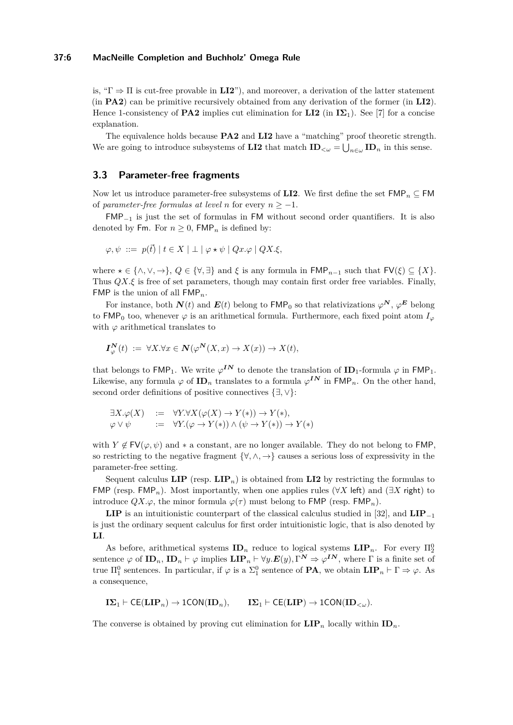#### **37:6 MacNeille Completion and Buchholz' Omega Rule**

is, " $\Gamma \Rightarrow \Pi$  is cut-free provable in **LI2**"), and moreover, a derivation of the latter statement (in **PA2**) can be primitive recursively obtained from any derivation of the former (in **LI2**). Hence 1-consistency of **PA2** implies cut elimination for **LI2** (in  $I\Sigma_1$ ). See [\[7\]](#page-15-9) for a concise explanation.

The equivalence holds because **PA2** and **LI2** have a "matching" proof theoretic strength. We are going to introduce subsystems of **LI2** that match  $\text{ID}_{\leq \omega} = \bigcup_{n \in \omega} \text{ID}_n$  in this sense.

## **3.3 Parameter-free fragments**

Now let us introduce parameter-free subsystems of **LI2**. We first define the set  $\text{FMP}_n \subseteq \text{FMP}$ of *parameter-free formulas at level n* for every  $n \geq -1$ .

 $FMP_{-1}$  is just the set of formulas in FM without second order quantifiers. It is also denoted by Fm. For  $n \geq 0$ , FMP<sub>n</sub> is defined by:

$$
\varphi, \psi \ ::= \ p(\vec{t}) \mid t \in X \mid \bot \mid \varphi \star \psi \mid Qx.\varphi \mid QX.\xi,
$$

where  $\star \in \{\wedge, \vee, \to\}$ ,  $Q \in \{\forall, \exists\}$  and  $\xi$  is any formula in  $\mathsf{FMP}_{n-1}$  such that  $\mathsf{FV}(\xi) \subseteq \{X\}$ . Thus *QX.ξ* is free of set parameters, though may contain first order free variables. Finally, FMP is the union of all FMP*n*.

For instance, both  $N(t)$  and  $E(t)$  belong to  $FMP_0$  so that relativizations  $\varphi^N$ ,  $\varphi^E$  belong to FMP<sub>0</sub> too, whenever  $\varphi$  is an arithmetical formula. Furthermore, each fixed point atom  $I_{\varphi}$ with  $\varphi$  arithmetical translates to

$$
\boldsymbol{I}_{\varphi}^{\mathbf{N}}(t) := \forall X. \forall x \in \mathbf{N}(\varphi^{\mathbf{N}}(X,x) \to X(x)) \to X(t),
$$

that belongs to  $\mathsf{FMP}_1$ . We write  $\varphi^{IN}$  to denote the translation of  $\mathsf{ID}_1$ -formula  $\varphi$  in  $\mathsf{FMP}_1$ . Likewise, any formula  $\varphi$  of  $\mathbf{ID}_n$  translates to a formula  $\varphi^{IN}$  in  $\mathsf{FMP}_n$ . On the other hand, second order definitions of positive connectives {∃*,* ∨}:

$$
\exists X. \varphi(X) := \forall Y. \forall X (\varphi(X) \to Y(*) ) \to Y(*) ,
$$
  

$$
\varphi \lor \psi := \forall Y. (\varphi \to Y(*) ) \land (\psi \to Y(*) ) \to Y(*)
$$

with  $Y \notin \mathsf{FV}(\varphi, \psi)$  and \* a constant, are no longer available. They do not belong to FMP, so restricting to the negative fragment  $\{\forall, \wedge, \rightarrow\}$  causes a serious loss of expressivity in the parameter-free setting.

Sequent calculus  $\textbf{LIP}$  (resp.  $\textbf{LIP}_n$ ) is obtained from  $\textbf{LIP}$  by restricting the formulas to FMP (resp. FMP<sub>n</sub>). Most importantly, when one applies rules ( $\forall X$  left) and ( $\exists X$  right) to introduce  $QX.\varphi$ , the minor formula  $\varphi(\tau)$  must belong to **FMP** (resp. **FMP**<sub>n</sub>).

**LIP** is an intuitionistic counterpart of the classical calculus studied in [\[32\]](#page-16-6), and **LIP**<sup>−</sup><sup>1</sup> is just the ordinary sequent calculus for first order intuitionistic logic, that is also denoted by **LI**.

As before, arithmetical systems  $\mathbf{ID}_n$  reduce to logical systems  $\mathbf{LIP}_n$ . For every  $\Pi_2^0$ sentence  $\varphi$  of  $\mathbf{ID}_n$ ,  $\mathbf{ID}_n \vdash \varphi$  implies  $\mathbf{LIP}_n \vdash \forall y.\mathbf{E}(y), \Gamma^{\mathbf{N}} \Rightarrow \varphi^{\mathbf{IN}}$ , where  $\Gamma$  is a finite set of true  $\Pi_1^0$  sentences. In particular, if  $\varphi$  is a  $\Sigma_1^0$  sentence of **PA**, we obtain  $\textbf{LIP}_n \vdash \Gamma \Rightarrow \varphi$ . As a consequence,

 $\mathbf{I}\Sigma_1 \vdash \mathsf{CE}(\mathbf{LIP}_n) \rightarrow \mathsf{1CON}(\mathbf{ID}_n), \qquad \mathbf{I}\Sigma_1 \vdash \mathsf{CE}(\mathbf{LIP}) \rightarrow \mathsf{1CON}(\mathbf{ID}_{< \omega}).$ 

The converse is obtained by proving cut elimination for  $\text{LIP}_n$  locally within  $\text{ID}_n$ .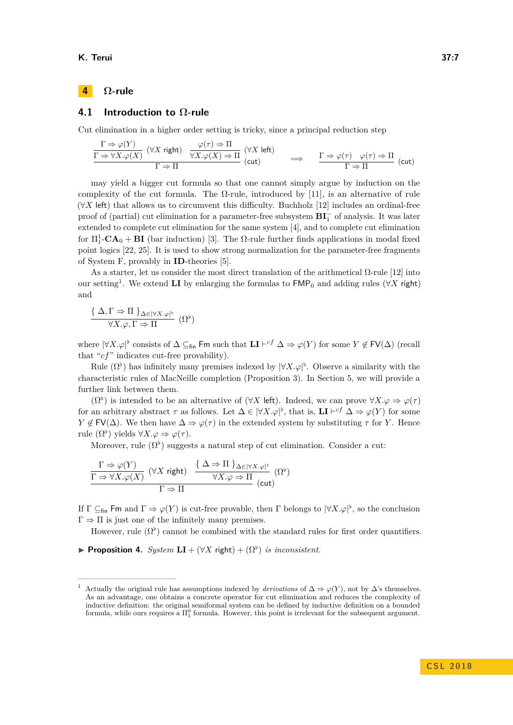#### **K. Terui 37:7**

# **4 Ω-rule**

## **4.1 Introduction to Ω-rule**

Cut elimination in a higher order setting is tricky, since a principal reduction step

$$
\frac{\Gamma \Rightarrow \varphi(Y)}{\Gamma \Rightarrow \forall X. \varphi(X)} \quad (\forall X \text{ right}) \quad \frac{\varphi(\tau) \Rightarrow \Pi}{\forall X. \varphi(X) \Rightarrow \Pi} \quad (\forall X \text{ left})
$$
\n
$$
\implies \quad \frac{\Gamma \Rightarrow \varphi(\tau) \quad \varphi(\tau) \Rightarrow \Pi}{\Gamma \Rightarrow \Pi} \quad (\text{cut})
$$

may yield a bigger cut formula so that one cannot simply argue by induction on the complexity of the cut formula. The  $\Omega$ -rule, introduced by [\[11\]](#page-15-0), is an alternative of rule (∀*X* left) that allows us to circumvent this difficulty. Buchholz [\[12\]](#page-15-1) includes an ordinal-free proof of (partial) cut elimination for a parameter-free subsystem **BI**<sup>−</sup> of analysis. It was later extended to complete cut elimination for the same system [\[4\]](#page-15-2), and to complete cut elimination for  $\Pi_1^1$ **-CA**<sub>0</sub> + **BI** (bar induction) [\[3\]](#page-15-3). The  $\Omega$ -rule further finds applications in modal fixed point logics [\[22,](#page-16-14) [25\]](#page-16-15). It is used to show strong normalization for the parameter-free fragments of System F, provably in **ID**-theories [\[5\]](#page-15-10).

As a starter, let us consider the most direct translation of the arithmetical  $\Omega$ -rule [\[12\]](#page-15-1) into our setting<sup>[1](#page-6-0)</sup>. We extend **LI** by enlarging the formulas to  $\mathsf{FMP}_0$  and adding rules ( $\forall X$  right) and

$$
\frac{\{\Delta,\Gamma\Rightarrow\Pi\}_{\Delta\in|\forall X.\varphi|^{\flat}}}{\forall X.\varphi,\Gamma\Rightarrow\Pi}(\Omega^{\flat})
$$

where  $|\forall X.\varphi|^\flat$  consists of  $\Delta \subseteq_{fin}$  Fm such that  $LI \vdash^{cf} \Delta \Rightarrow \varphi(Y)$  for some  $Y \not\in FV(\Delta)$  (recall that "*cf*" indicates cut-free provability).

Rule  $(\Omega^{\flat})$  has infinitely many premises indexed by  $|\forall X.\varphi|^{\flat}$ . Observe a similarity with the characteristic rules of MacNeille completion (Proposition [3\)](#page-2-0). In Section 5, we will provide a further link between them.

 $(\Omega^{\flat})$  is intended to be an alternative of  $(\forall X \in \mathbb{R})$ . Indeed, we can prove  $\forall X.\varphi \Rightarrow \varphi(\tau)$ for an arbitrary abstract  $\tau$  as follows. Let  $\Delta \in |\forall X \cdot \varphi|^{\flat}$ , that is,  $LI \vdash^{cf} \Delta \Rightarrow \varphi(Y)$  for some  $Y \notin FV(\Delta)$ . We then have  $\Delta \Rightarrow \varphi(\tau)$  in the extended system by substituting  $\tau$  for *Y*. Hence rule  $(\Omega^{\flat})$  yields  $\forall X.\varphi \Rightarrow \varphi(\tau)$ .

Moreover, rule  $(\Omega^{\flat})$  suggests a natural step of cut elimination. Consider a cut:

$$
\frac{\Gamma \Rightarrow \varphi(Y)}{\Gamma \Rightarrow \forall X. \varphi(X)} \quad (\forall X \text{ right}) \quad \frac{\{\Delta \Rightarrow \Pi\}_{\Delta \in |\forall X. \varphi|^{\flat}}}{\forall X. \varphi \Rightarrow \Pi} \quad (\Omega^{\flat})
$$

If  $\Gamma \subseteq_{fin} \textsf{Fm}$  and  $\Gamma \Rightarrow \varphi(Y)$  is cut-free provable, then  $\Gamma$  belongs to  $|\forall X.\varphi|^\flat$ , so the conclusion  $\Gamma \Rightarrow \Pi$  is just one of the infinitely many premises.

However, rule  $(\Omega^{\flat})$  cannot be combined with the standard rules for first order quantifiers.

**Proposition 4.** *System*  $LI + (\forall X \text{ right}) + (\Omega^{\flat})$  *is inconsistent.* 

<span id="page-6-0"></span>Actually the original rule has assumptions indexed by *derivations* of  $\Delta \Rightarrow \varphi(Y)$ , not by  $\Delta$ 's themselves. As an advantage, one obtains a concrete operator for cut elimination and reduces the complexity of inductive definition: the original semiformal system can be defined by inductive definition on a bounded formula, while ours requires a  $\Pi_1^0$  formula. However, this point is irrelevant for the subsequent argument.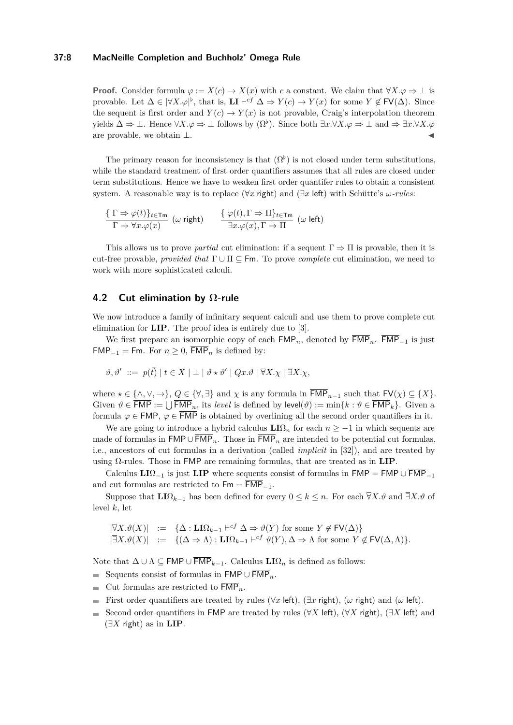## **37:8 MacNeille Completion and Buchholz' Omega Rule**

**Proof.** Consider formula  $\varphi := X(c) \to X(x)$  with *c* a constant. We claim that  $\forall X \cdot \varphi \Rightarrow \bot$  is provable. Let  $\Delta \in |\forall X \cdot \varphi|^{\flat}$ , that is,  $LI \vdash^{cf} \Delta \Rightarrow Y(c) \rightarrow Y(x)$  for some  $Y \notin FV(\Delta)$ . Since the sequent is first order and  $Y(c) \to Y(x)$  is not provable, Craig's interpolation theorem yields  $\Delta \Rightarrow \bot$ . Hence  $\forall X.\varphi \Rightarrow \bot$  follows by  $(\Omega^{\flat})$ . Since both  $\exists x.\forall X.\varphi \Rightarrow \bot$  and  $\Rightarrow \exists x.\forall X.\varphi$ are provable, we obtain  $\perp$ .

The primary reason for inconsistency is that  $(\Omega^{\flat})$  is not closed under term substitutions, while the standard treatment of first order quantifiers assumes that all rules are closed under term substitutions. Hence we have to weaken first order quantifer rules to obtain a consistent system. A reasonable way is to replace (∀*x* right) and (∃*x* left) with Schütte's *ω-rules*:

$$
\frac{\{\ \Gamma\Rightarrow\varphi(t)\}_{t\in\mathsf{Tm}}}{\Gamma\Rightarrow\forall x.\varphi(x)}\ \ (\omega\ \mathsf{right})\qquad \frac{\{\ \varphi(t),\Gamma\Rightarrow\Pi\}_{t\in\mathsf{Tm}}}{\exists x.\varphi(x),\Gamma\Rightarrow\Pi}\ \ (\omega\ \mathsf{left})
$$

This allows us to prove *partial* cut elimination: if a sequent  $\Gamma \Rightarrow \Pi$  is provable, then it is cut-free provable, *provided that* Γ ∪ Π ⊆ Fm. To prove *complete* cut elimination, we need to work with more sophisticated calculi.

## **4.2 Cut elimination by Ω-rule**

We now introduce a family of infinitary sequent calculi and use them to prove complete cut elimination for **LIP**. The proof idea is entirely due to [\[3\]](#page-15-3).

We first prepare an isomorphic copy of each  $\mathsf{FMP}_n$ , denoted by  $\overline{\mathsf{FMP}}_n$ .  $\overline{\mathsf{FMP}}_{-1}$  is just FMP<sub>−1</sub> = Fm. For  $n \ge 0$ ,  $\overline{\mathsf{FMP}}_n$  is defined by:

$$
\vartheta, \vartheta' \ ::= p(\vec{t}) \mid t \in X \mid \bot \mid \vartheta \star \vartheta' \mid Qx.\vartheta \mid \overline{\forall} X. \chi \mid \overline{\exists} X. \chi,
$$

where  $x \in \{\wedge, \vee, \rightarrow\}$ ,  $Q \in \{\forall, \exists\}$  and  $\chi$  is any formula in  $\overline{\mathsf{FMP}}_{n-1}$  such that  $\mathsf{FV}(\chi) \subseteq \{X\}$ . Given  $\vartheta \in \overline{\sf FMP} := \bigcup \overline{\sf FMP}_n$ , its *level* is defined by  $\textsf{level}(\vartheta) := \min\{k : \vartheta \in \overline{\sf FMP}_k\}$ . Given a formula  $\varphi \in \text{FMP}, \overline{\varphi} \in \overline{\text{FMP}}$  is obtained by overlining all the second order quantifiers in it.

We are going to introduce a hybrid calculus  $LI\Omega_n$  for each  $n > -1$  in which sequents are made of formulas in  $FMP \cup \overline{FMP}_n$ . Those in  $\overline{FMP}_n$  are intended to be potential cut formulas, i.e., ancestors of cut formulas in a derivation (called *implicit* in [\[32\]](#page-16-6)), and are treated by using Ω-rules. Those in FMP are remaining formulas, that are treated as in **LIP**.

Calculus  $LI\Omega_{-1}$  is just  $LI\mathbf{P}$  where sequents consist of formulas in  $F\mathsf{MP} = F\mathsf{MP} \cup \overline{F\mathsf{MP}}_{-1}$ and cut formulas are restricted to  $\mathsf{Fm} = \overline{\mathsf{FMP}}_{-1}$ .

Suppose that  $LI\Omega_{k-1}$  has been defined for every  $0 \leq k \leq n$ . For each  $\overline{\forall}X.\vartheta$  and  $\overline{\exists}X.\vartheta$  of level *k*, let

$$
\begin{array}{rcl}\n|\overline{\forall}X.\vartheta(X)| &:=& \{\Delta: \mathbf{L}{\rm{I}}\Omega_{k-1}\vdash^{cf}\Delta\Rightarrow \vartheta(Y) \text{ for some } Y\notin\mathsf{FV}(\Delta)\} \\
|\overline{\exists}X.\vartheta(X)| &:=& \{(\Delta\Rightarrow \Lambda): \mathbf{L}{\rm{I}}\Omega_{k-1}\vdash^{cf}\vartheta(Y), \Delta\Rightarrow \Lambda \text{ for some } Y\notin\mathsf{FV}(\Delta,\Lambda)\}.\n\end{array}
$$

Note that  $\Delta \cup \Lambda$  ⊆ FMP ∪  $\overline{\text{FMP}}_{k-1}$ . Calculus  $\text{LI}\Omega_n$  is defined as follows:

- Sequents consist of formulas in  $\mathsf{FMP} \cup \overline{\mathsf{FMP}}_n$ .
- Cut formulas are restricted to  $\overline{\mathsf{FMP}}_n$ .
- **Example 1** First order quantifiers are treated by rules ( $∀x$  left),  $(∃x$  right),  $(ω$  right) and  $(ω \text{ left})$ .
- Second order quantifiers in FMP are treated by rules (∀*X* left), (∀*X* right), (∃*X* left) and (∃*X* right) as in **LIP**.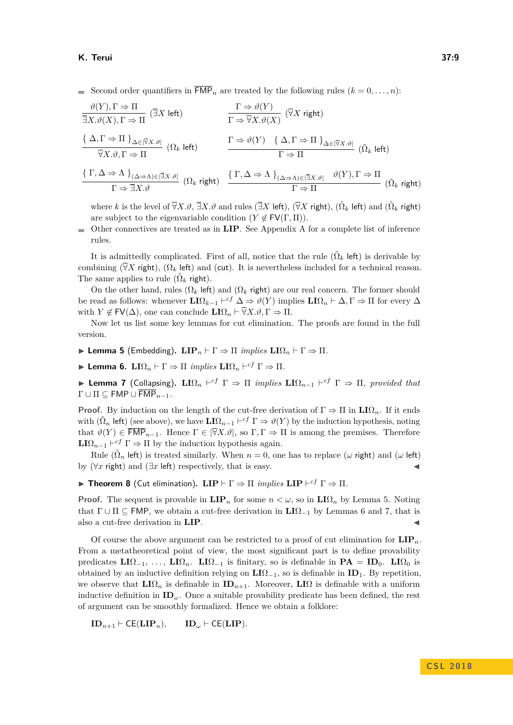Second order quantifiers in  $\overline{\mathsf{FMP}}_n$  are treated by the following rules  $(k = 0, \ldots, n)$ :

$$
\frac{\vartheta(Y), \Gamma \Rightarrow \Pi}{\exists X. \vartheta(X), \Gamma \Rightarrow \Pi} (\exists X \text{ left}) \qquad \qquad \frac{\Gamma \Rightarrow \vartheta(Y)}{\Gamma \Rightarrow \overline{\forall} X. \vartheta(X)} (\overline{\forall} X \text{ right})
$$
\n
$$
\frac{\{\Delta, \Gamma \Rightarrow \Pi\}_{\Delta \in [\overline{\forall} X. \vartheta]} }{\forall X. \vartheta, \Gamma \Rightarrow \Pi} (\Omega_k \text{ left}) \qquad \qquad \frac{\Gamma \Rightarrow \vartheta(Y) \quad \{\Delta, \Gamma \Rightarrow \Pi\}_{\Delta \in [\overline{\forall} X. \vartheta]} }{\Gamma \Rightarrow \Pi} (\tilde{\Omega}_k \text{ left})
$$
\n
$$
\frac{\{\Gamma, \Delta \Rightarrow \vartheta(Y) \quad \{\Delta, \Gamma \Rightarrow \Pi\}_{\Delta \in [\overline{\forall} X. \vartheta]} }{\Gamma \Rightarrow \Pi} (\tilde{\Omega}_k \text{ left})
$$
\n
$$
\frac{\{\Gamma, \Delta \Rightarrow \Lambda\}_{(\Delta \Rightarrow \Lambda) \in [\overline{\exists} X. \vartheta]} \quad (\Omega_k \text{ right}) \quad \frac{\{\Gamma, \Delta \Rightarrow \Lambda\}_{(\Delta \Rightarrow \Lambda) \in [\overline{\exists} X. \vartheta]} \quad \vartheta(Y), \Gamma \Rightarrow \Pi}{\Gamma \Rightarrow \Pi} (\tilde{\Omega}_k \text{ right})
$$

where  $k$  is the level of  $\overline{\forall}X.\vartheta, \overline{\exists}X.\vartheta$  and rules ( $\overline{\exists}X$  left), ( $\overline{\forall}X$  right), ( $\tilde{\Omega}_k$  left) and ( $\tilde{\Omega}_k$  right) are subject to the eigenvariable condition  $(Y \notin \text{FV}(\Gamma, \Pi)).$ 

Other connectives are treated as in **LIP**. See Appendix A for a complete list of inference  $\blacksquare$ rules.

It is admittedly complicated. First of all, notice that the rule  $(\tilde{\Omega}_k \text{ left})$  is derivable by combining ( $\overline{\forall}X$  right), ( $\Omega_k$  left) and (cut). It is nevertheless included for a technical reason. The same applies to rule  $(\tilde{\Omega}_k \text{ right})$ .

On the other hand, rules  $(\Omega_k \text{ left})$  and  $(\Omega_k \text{ right})$  are our real concern. The former should be read as follows: whenever  $\mathbf{LI}\Omega_{k-1} \vdash^{cf} \Delta \Rightarrow \vartheta(Y)$  implies  $\mathbf{LI}\Omega_n \vdash \Delta, \Gamma \Rightarrow \Pi$  for every  $\Delta$ with  $Y \notin \mathsf{FV}(\Delta)$ , one can conclude  $\mathbf{L} \mathbf{I} \Omega_n \vdash \overline{\forall} X.\vartheta, \Gamma \Rightarrow \Pi$ .

Now let us list some key lemmas for cut elimination. The proofs are found in the full version.

<span id="page-8-0"></span>**ILemma 5** (Embedding).  $\textbf{LIP}_n \vdash \Gamma \Rightarrow \Pi$  *implies*  $\textbf{LIQ}_n \vdash \Gamma \Rightarrow \Pi$ .

<span id="page-8-1"></span> $\blacktriangleright$  Lemma 6.  $LI\Omega_n \vdash \Gamma \Rightarrow \Pi$  *implies*  $LI\Omega_n \vdash^{cf} \Gamma \Rightarrow \Pi$ .

<span id="page-8-2"></span> $\blacktriangleright$  **Lemma 7** (Collapsing).  $LI\Omega_n$   $\vdash^{cf} \Gamma \Rightarrow \Pi$  *implies*  $LI\Omega_{n-1}$   $\vdash^{cf} \Gamma \Rightarrow \Pi$ , provided that  $\Gamma \cup \Pi \subseteq \mathsf{FMP} \cup \overline{\mathsf{FMP}}_{n-1}$ .

**Proof.** By induction on the length of the cut-free derivation of  $\Gamma \Rightarrow \Pi$  in  $LI\Omega_n$ . If it ends with  $(\tilde{\Omega}_n \text{ left})$  (see above), we have  $\text{LI}\Omega_{n-1} \vdash^{cf} \Gamma \Rightarrow \vartheta(Y)$  by the induction hypothesis, noting that  $\vartheta(Y) \in \overline{\text{FMP}}_{n-1}$ . Hence  $\Gamma \in |\overline{\nabla}X \cdot \vartheta|$ , so  $\Gamma, \Gamma \Rightarrow \Pi$  is among the premises. Therefore  $LI\Omega_{n-1} \vdash^{cf} \Gamma \Rightarrow \Pi$  by the induction hypothesis again.

Rule ( $\tilde{\Omega}_n$  left) is treated similarly. When  $n = 0$ , one has to replace ( $\omega$  right) and ( $\omega$  left) by  $(\forall x \text{ right})$  and  $(\exists x \text{ left})$  respectively, that is easy.

**Find Theorem 8** (Cut elimination).  $\textbf{LIP} \vdash \Gamma \Rightarrow \Pi$  *implies*  $\textbf{LIP} \vdash^{cf} \Gamma \Rightarrow \Pi$ .

**Proof.** The sequent is provable in  $\text{LIP}_n$  for some  $n < \omega$ , so in  $\text{LIP}_n$  by Lemma [5.](#page-8-0) Noting that  $\Gamma \cup \Pi \subseteq \text{FMP}$ , we obtain a cut-free derivation in  $LI\Omega_{-1}$  by Lemmas [6](#page-8-1) and [7,](#page-8-2) that is also a cut-free derivation in **LIP**.

Of course the above argument can be restricted to a proof of cut elimination for  $\mathbf{LIP}_n$ . From a metatheoretical point of view, the most significant part is to define provability predicates  $LI\Omega_{-1}, \ldots$ ,  $LI\Omega_n$ .  $LI\Omega_{-1}$  is finitary, so is definable in  $PA = ID_0$ .  $LI\Omega_0$  is obtained by an inductive definition relying on **LI**Ω−1, so is definable in **ID**1. By repetition, we observe that  $\mathbf{L} \mathbf{I} \Omega_n$  is definable in  $\mathbf{ID}_{n+1}$ . Moreover,  $\mathbf{L} \mathbf{I} \Omega$  is definable with a uniform inductive definition in  $\mathbf{ID}_{\omega}$ . Once a suitable provability predicate has been defined, the rest of argument can be smoothly formalized. Hence we obtain a folklore:

$$
ID_{n+1} \vdash \mathsf{CE}(\mathbf{LIP}_n), \qquad ID_\omega \vdash \mathsf{CE}(\mathbf{LIP}).
$$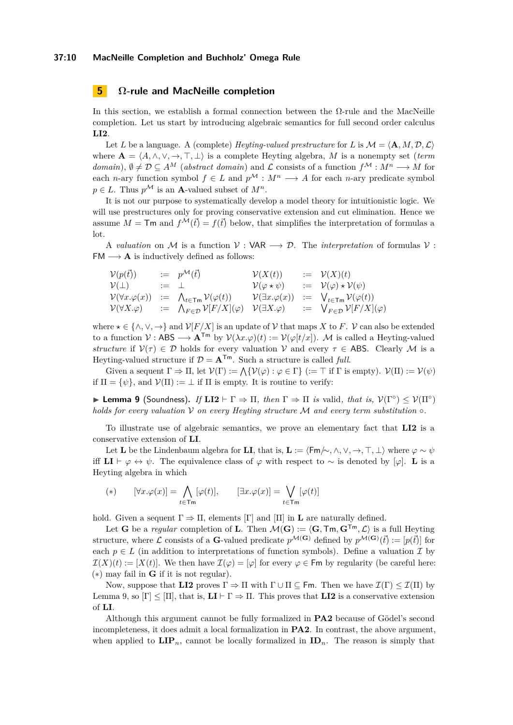#### **37:10 MacNeille Completion and Buchholz' Omega Rule**

## **5 Ω-rule and MacNeille completion**

In this section, we establish a formal connection between the  $\Omega$ -rule and the MacNeille completion. Let us start by introducing algebraic semantics for full second order calculus **LI2**.

Let *L* be a language. A (complete) *Heyting-valued prestructure* for *L* is  $M = \langle \mathbf{A}, M, \mathcal{D}, \mathcal{L} \rangle$ where  $\mathbf{A} = \langle A, \wedge, \vee, \to, \top, \bot \rangle$  is a complete Heyting algebra, *M* is a nonempty set (*term domain*),  $\emptyset \neq \mathcal{D} \subseteq A^M$  (*abstract domain*) and  $\mathcal{L}$  consists of a function  $f^{\mathcal{M}} : M^n \longrightarrow M$  for each *n*-ary function symbol  $f \in L$  and  $p^{\mathcal{M}} : M^n \longrightarrow A$  for each *n*-ary predicate symbol  $p \in L$ . Thus  $p^{\mathcal{M}}$  is an **A**-valued subset of  $M^n$ .

It is not our purpose to systematically develop a model theory for intuitionistic logic. We will use prestructures only for proving conservative extension and cut elimination. Hence we assume  $M = \textsf{Tm}$  and  $f^{\mathcal{M}}(\vec{t}) = f(\vec{t})$  below, that simplifies the interpretation of formulas a lot.

A *valuation* on M is a function  $V : VAR \longrightarrow D$ . The *interpretation* of formulas V:  $FM \longrightarrow A$  is inductively defined as follows:

$$
\begin{array}{rclclcl} \mathcal{V}(p(\vec{t})) & := & p^{\mathcal{M}}(\vec{t}) & \mathcal{V}(X(t)) & := & \mathcal{V}(X)(t) \\ \mathcal{V}(\bot) & := & \bot & \mathcal{V}(\varphi \star \psi) & := & \mathcal{V}(\varphi) \star \mathcal{V}(\psi) \\ \mathcal{V}(\forall x. \varphi(x)) & := & \bigwedge_{t \in \mathsf{Tm}} \mathcal{V}(\varphi(t)) & \mathcal{V}(\exists x. \varphi(x)) & := & \bigvee_{t \in \mathsf{Tm}} \mathcal{V}(\varphi(t)) \\ \mathcal{V}(\forall X. \varphi) & := & \bigwedge_{F \in \mathcal{D}} \mathcal{V}[F/X](\varphi) & \mathcal{V}(\exists X. \varphi) & := & \bigvee_{F \in \mathcal{D}} \mathcal{V}[F/X](\varphi) \end{array}
$$

where  $\star \in \{\land, \lor, \to\}$  and  $\mathcal{V}[F/X]$  is an update of V that maps X to F. V can also be extended to a function  $V : ABS \longrightarrow A^{Tm}$  by  $V(\lambda x.\varphi)(t) := V(\varphi[t/x])$ . M is called a Heyting-valued *structure* if  $V(\tau) \in \mathcal{D}$  holds for every valuation V and every  $\tau \in \mathsf{ABS}$ . Clearly M is a Heyting-valued structure if  $\mathcal{D} = \mathbf{A}^{T_m}$ . Such a structure is called *full*.

Given a sequent  $\Gamma \Rightarrow \Pi$ , let  $\mathcal{V}(\Gamma) := \bigwedge \{ \mathcal{V}(\varphi) : \varphi \in \Gamma \}$  ( $:= \top$  if  $\Gamma$  is empty).  $\mathcal{V}(\Pi) := \mathcal{V}(\psi)$ if  $\Pi = {\psi}$ , and  $\mathcal{V}(\Pi) := \bot$  if  $\Pi$  is empty. It is routine to verify:

<span id="page-9-0"></span>**Lemma 9** (Soundness). *If*  $LI2 \vdash \Gamma \Rightarrow \Pi$ , then  $\Gamma \Rightarrow \Pi$  is valid, that is,  $V(\Gamma^{\circ}) \leq V(\Pi^{\circ})$ *holds for every valuation* V *on every Heyting structure* M *and every term substitution* ◦*.*

To illustrate use of algebraic semantics, we prove an elementary fact that **LI2** is a conservative extension of **LI**.

Let **L** be the Lindenbaum algebra for **LI**, that is, **L** :=  $\langle \mathsf{Fm}\rangle\sim\langle \wedge, \vee, \rightarrow, \top, \bot \rangle$  where  $\varphi \sim \psi$ iff **LI**  $\vdash \varphi \leftrightarrow \psi$ . The equivalence class of  $\varphi$  with respect to ~ is denoted by [ $\varphi$ ]. **L** is a Heyting algebra in which

$$
(*) \qquad [\forall x. \varphi(x)] = \bigwedge_{t \in \mathsf{Tm}} [\varphi(t)], \qquad [\exists x. \varphi(x)] = \bigvee_{t \in \mathsf{Tm}} [\varphi(t)]
$$

hold. Given a sequent  $\Gamma \Rightarrow \Pi$ , elements  $[\Gamma]$  and  $[\Pi]$  in **L** are naturally defined.

Let **G** be a *regular* completion of **L**. Then  $\mathcal{M}(\mathbf{G}) := \langle \mathbf{G}, \mathsf{Tm}, \mathbf{G}^{\mathsf{Tm}}, \mathcal{L} \rangle$  is a full Heyting structure, where  $\mathcal L$  consists of a **G**-valued predicate  $p^{\mathcal M(\mathbf G)}$  defined by  $p^{\mathcal M(\mathbf G)}(\vec{t}) := [p(\vec{t})]$  for each  $p \in L$  (in addition to interpretations of function symbols). Define a valuation  $\mathcal I$  by  $\mathcal{I}(X)(t) := [X(t)].$  We then have  $\mathcal{I}(\varphi) = [\varphi]$  for every  $\varphi \in \mathsf{Fm}$  by regularity (be careful here: (∗) may fail in **G** if it is not regular).

Now, suppose that **LI2** proves  $\Gamma \Rightarrow \Pi$  with  $\Gamma \cup \Pi \subseteq \mathsf{Fm}$ . Then we have  $\mathcal{I}(\Gamma) \leq \mathcal{I}(\Pi)$  by Lemma [9,](#page-9-0) so  $[\Gamma] \leq [\Pi]$ , that is,  $\mathbf{L} \mathbf{I} \vdash \Gamma \Rightarrow \Pi$ . This proves that  $\mathbf{L} \mathbf{I} \mathbf{2}$  is a conservative extension of **LI**.

Although this argument cannot be fully formalized in **PA2** because of Gödel's second incompleteness, it does admit a local formalization in **PA2**. In contrast, the above argument, when applied to  $\mathbf{LIP}_n$ , cannot be locally formalized in  $\mathbf{ID}_n$ . The reason is simply that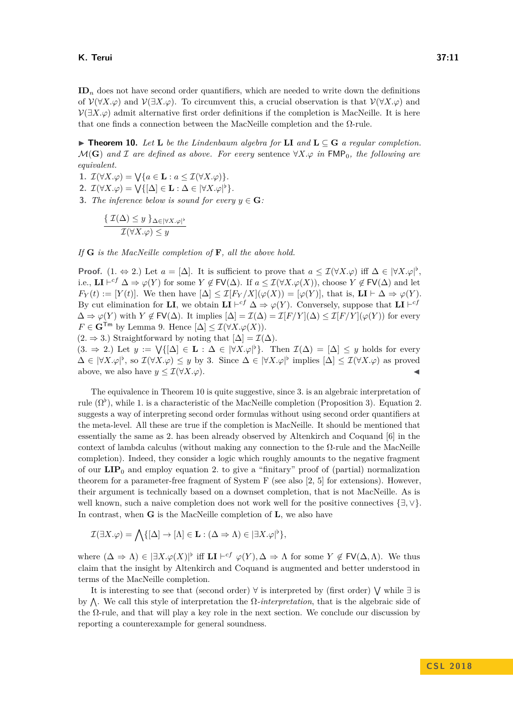#### **K. Terui 37:11**

**ID***<sup>n</sup>* does not have second order quantifiers, which are needed to write down the definitions of V(∀*X.ϕ*) and V(∃*X.ϕ*). To circumvent this, a crucial observation is that V(∀*X.ϕ*) and  $\mathcal{V}(\exists X.\varphi)$  admit alternative first order definitions if the completion is MacNeille. It is here that one finds a connection between the MacNeille completion and the  $\Omega$ -rule.

<span id="page-10-0"></span>▶ **Theorem 10.** Let **L** be the Lindenbaum algebra for **LI** and  $L ⊆ G$  a regular completion.  $\mathcal{M}(\mathbf{G})$  *and*  $\mathcal I$  *are defined as above. For every* sentence  $\forall X.\varphi$  *in*  $\mathsf{FMP}_0$ *, the following are equivalent.*

**1.**  $\mathcal{I}(\forall X.\varphi) = \bigvee \{a \in \mathbf{L} : a \leq \mathcal{I}(\forall X.\varphi)\}.$ 

**2.**  $\mathcal{I}(\forall X.\varphi) = \bigvee \{[\Delta] \in \mathbf{L} : \Delta \in |\forall X.\varphi|^{\flat}\}.$ 

**3.** *The inference below is sound for every*  $y \in \mathbf{G}$ *:* 

$$
\frac{\{\mathcal{I}(\Delta) \le y\}_{\Delta \in |\forall X.\varphi|^b}}{\mathcal{I}(\forall X.\varphi) \le y}
$$

*If* **G** *is the MacNeille completion of* **F***, all the above hold.*

**Proof.**  $(1, \Leftrightarrow 2)$  Let  $a = [\Delta]$ . It is sufficient to prove that  $a \leq \mathcal{I}(\forall X.\varphi)$  iff  $\Delta \in |\forall X.\varphi|^{\flat}$ , i.e.,  $\mathbf{LI} \vdash^{cf} \Delta \Rightarrow \varphi(Y)$  for some  $Y \notin \mathsf{FV}(\Delta)$ . If  $a \leq \mathcal{I}(\forall X \cdot \varphi(X))$ , choose  $Y \notin \mathsf{FV}(\Delta)$  and let  $F_Y(t) := [Y(t)]$ . We then have  $[\Delta] \leq \mathcal{I}[F_Y/X](\varphi(X)) = [\varphi(Y)]$ , that is,  $\mathbf{LI} \vdash \Delta \Rightarrow \varphi(Y)$ . By cut elimination for **LI**, we obtain  $LI \vdash^{cf} \Delta \Rightarrow \varphi(Y)$ . Conversely, suppose that  $LI \vdash^{cf}$  $\Delta \Rightarrow \varphi(Y)$  with  $Y \notin FV(\Delta)$ . It implies  $[\Delta] = \mathcal{I}(\Delta) = \mathcal{I}[F/Y](\Delta) \leq \mathcal{I}[F/Y](\varphi(Y))$  for every *F* ∈ **G**<sup>Tm</sup> by Lemma [9.](#page-9-0) Hence  $\Delta$  ≤  $\mathcal{I}(\forall X.\varphi(X))$ .

 $(2. \Rightarrow 3.)$  Straightforward by noting that  $[\Delta] = \mathcal{I}(\Delta)$ .

 $(3. \Rightarrow 2.)$  Let  $y := \bigvee \{[\Delta] \in \mathbf{L} : \Delta \in |\forall X.\varphi|^\flat\}.$  Then  $\mathcal{I}(\Delta) = [\Delta] \leq y$  holds for every  $\Delta \in |\forall X.\varphi|^{b}$ , so  $\mathcal{I}(\forall X.\varphi) \leq y$  by 3. Since  $\Delta \in |\forall X.\varphi|^{b}$  implies  $[\Delta] \leq \mathcal{I}(\forall X.\varphi)$  as proved above, we also have  $y \leq \mathcal{I}(\forall X.\varphi)$ .

The equivalence in Theorem [10](#page-10-0) is quite suggestive, since 3. is an algebraic interpretation of rule  $(\Omega^{\flat})$ , while 1. is a characteristic of the MacNeille completion (Proposition [3\)](#page-2-0). Equation 2. suggests a way of interpreting second order formulas without using second order quantifiers at the meta-level. All these are true if the completion is MacNeille. It should be mentioned that essentially the same as 2. has been already observed by Altenkirch and Coquand [\[6\]](#page-15-4) in the context of lambda calculus (without making any connection to the Ω-rule and the MacNeille completion). Indeed, they consider a logic which roughly amounts to the negative fragment of our  $\mathbf{LIP}_0$  and employ equation 2. to give a "finitary" proof of (partial) normalization theorem for a parameter-free fragment of System F (see also [\[2,](#page-15-11) [5\]](#page-15-10) for extensions). However, their argument is technically based on a downset completion, that is not MacNeille. As is well known, such a naive completion does not work well for the positive connectives {∃*,* ∨}. In contrast, when **G** is the MacNeille completion of **L**, we also have

$$
\mathcal{I}(\exists X.\varphi)=\bigwedge\{[\Delta]\rightarrow[\Lambda]\in\mathbf{L}:(\Delta\Rightarrow\Lambda)\in|\exists X.\varphi|^{\flat}\},
$$

where  $(\Delta \Rightarrow \Lambda) \in |\exists X \cdot \varphi(X)|^{\flat}$  iff  $\mathbf{LI} \vdash^{cf} \varphi(Y), \Delta \Rightarrow \Lambda$  for some  $Y \notin \mathsf{FV}(\Delta, \Lambda)$ . We thus claim that the insight by Altenkirch and Coquand is augmented and better understood in terms of the MacNeille completion.

It is interesting to see that (second order) ∀ is interpreted by (first order) W while ∃ is by  $\Lambda$ . We call this style of interpretation the  $\Omega$ -interpretation, that is the algebraic side of the  $\Omega$ -rule, and that will play a key role in the next section. We conclude our discussion by reporting a counterexample for general soundness.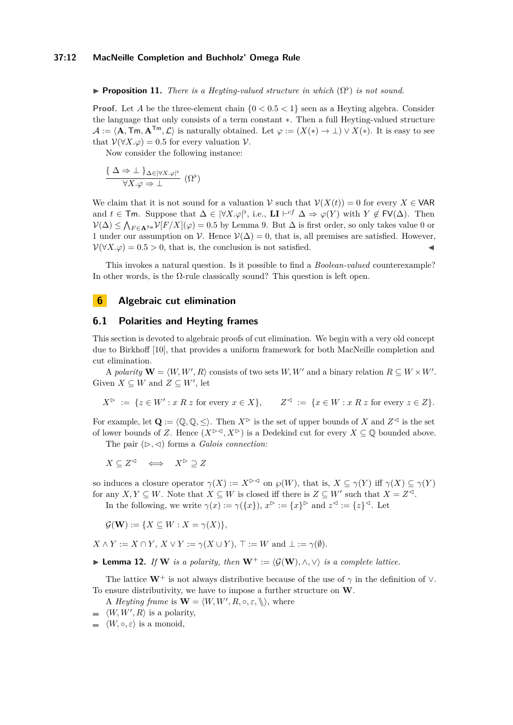<span id="page-11-0"></span>**Proposition 11.** *There is a Heyting-valued structure in which*  $(\Omega^{\flat})$  *is not sound.* 

**Proof.** Let *A* be the three-element chain  $\{0 < 0.5 < 1\}$  seen as a Heyting algebra. Consider the language that only consists of a term constant ∗. Then a full Heyting-valued structure  $\mathcal{A} := \langle \mathbf{A}, \mathsf{Tm}, \mathbf{A}^{\mathsf{Tm}}, \mathcal{L} \rangle$  is naturally obtained. Let  $\varphi := (X(*) \to \bot) \vee X(*)$ . It is easy to see that  $V(\forall X.\varphi) = 0.5$  for every valuation  $V$ .

Now consider the following instance:

$$
\frac{\{\Delta \Rightarrow \bot\}_{\Delta \in |\forall X.\varphi|^{\flat}}}{\forall X.\varphi \Rightarrow \bot} (\Omega^{\flat})
$$

We claim that it is not sound for a valuation  $V$  such that  $V(X(t)) = 0$  for every  $X \in \mathsf{VAR}$ and  $t \in \mathsf{Tm}$ . Suppose that  $\Delta \in |\forall X \cdot \varphi|^{\flat}$ , i.e.,  $\mathbf{LI} \vdash^{cf} \Delta \Rightarrow \varphi(Y)$  with  $Y \notin \mathsf{FV}(\Delta)$ . Then  $\mathcal{V}(\Delta)$  ≤  $\bigwedge_{F \in \mathbf{A}^{\text{Tw}}} \mathcal{V}[F/X](\varphi) = 0.5$  by Lemma [9.](#page-9-0) But  $\Delta$  is first order, so only takes value 0 or 1 under our assumption on  $\mathcal V$ . Hence  $\mathcal V(\Delta) = 0$ , that is, all premises are satisfied. However,  $V(\forall X.\varphi) = 0.5 > 0$ , that is, the conclusion is not satisfied.

This invokes a natural question. Is it possible to find a *Boolean-valued* counterexample? In other words, is the  $\Omega$ -rule classically sound? This question is left open.

## **6 Algebraic cut elimination**

#### **6.1 Polarities and Heyting frames**

This section is devoted to algebraic proofs of cut elimination. We begin with a very old concept due to Birkhoff [\[10\]](#page-15-12), that provides a uniform framework for both MacNeille completion and cut elimination.

A *polarity*  $\mathbf{W} = \langle W, W', R \rangle$  consists of two sets *W, W'* and a binary relation  $R \subseteq W \times W'$ . Given  $X \subseteq W$  and  $Z \subseteq W'$ , let

$$
X^{\triangleright} := \{ z \in W' : x R z \text{ for every } x \in X \}, \qquad Z^{\triangleleft} := \{ x \in W : x R z \text{ for every } z \in Z \}.
$$

For example, let  $\mathbf{Q} := \langle \mathbb{Q}, \mathbb{Q}, \leq \rangle$ . Then  $X^{\triangleright}$  is the set of upper bounds of *X* and  $Z^{\triangleleft}$  is the set of lower bounds of *Z*. Hence  $(X^{\triangleright\prec}, X^{\triangleright})$  is a Dedekind cut for every  $X \subseteq \mathbb{Q}$  bounded above.

The pair  $(\triangleright, \triangleleft)$  forms a *Galois connection*:

$$
X \subseteq Z^\lhd \quad \Longleftrightarrow \quad X^\rhd \supseteq Z
$$

so induces a closure operator  $\gamma(X) := X^{\triangleright\preceq}$  on  $\wp(W)$ , that is,  $X \subseteq \gamma(Y)$  iff  $\gamma(X) \subseteq \gamma(Y)$ for any  $X, Y \subseteq W$ . Note that  $X \subseteq W$  is closed iff there is  $Z \subseteq W'$  such that  $X = Z^{\lhd}$ .

In the following, we write  $\gamma(x) := \gamma(\lbrace x \rbrace), x^{\triangleright} := \lbrace x \rbrace^{\triangleright}$  and  $z^{\triangleleft} := \lbrace z \rbrace^{\triangleleft}$ . Let

 $\mathcal{G}(\mathbf{W}) := \{ X \subseteq W : X = \gamma(X) \},\$ 

 $X \wedge Y := X \cap Y$ ,  $X \vee Y := \gamma(X \cup Y)$ ,  $\top := W$  and  $\bot := \gamma(\emptyset)$ .

**Lemma 12.** *If* **W** *is a polarity, then*  $W^+ := \langle \mathcal{G}(W), \wedge, \vee \rangle$  *is a complete lattice.* 

The lattice  $W^+$  is not always distributive because of the use of  $\gamma$  in the definition of  $\vee$ . To ensure distributivity, we have to impose a further structure on **W**.

A *Heyting frame* is  $\mathbf{W} = \langle W, W', R, \circ, \varepsilon, \mathbb{R} \rangle$ , where

- $\langle W, W', R \rangle$  is a polarity,
- $\equiv$  $\langle W, \circ, \varepsilon \rangle$  is a monoid,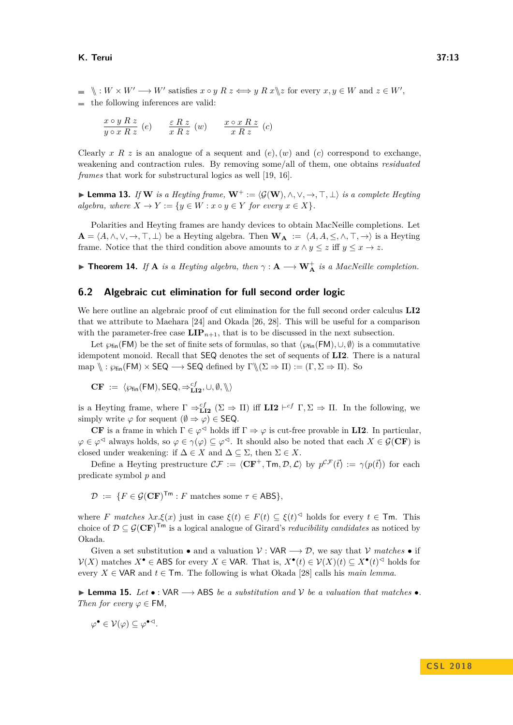#### **K. Terui 37:13**

 $\langle x \rangle : W \times W' \longrightarrow W'$  satisfies  $x \circ y \mathrel R z \iff y \mathrel R x \setminus z$  for every  $x, y \in W$  and  $z \in W'$ , the following inferences are valid:

$$
\frac{x\circ y\; R\; z}{y\circ x\; R\; z}\;\left(e\right)\qquad \frac{\varepsilon\; R\; z}{x\; R\; z}\;\left(w\right)\qquad \frac{x\circ x\; R\; z}{x\; R\; z}\;\left(c\right)
$$

Clearly *x R z* is an analogue of a sequent and  $(e)$ ,  $(w)$  and  $(c)$  correspond to exchange, weakening and contraction rules. By removing some/all of them, one obtains *residuated frames* that work for substructural logics as well [\[19,](#page-16-16) [16\]](#page-16-17).

**► Lemma 13.** *If* **W** *is a Heyting frame,*  $W^+ := \langle G(W), \wedge, \vee, \rightarrow, \top, \bot \rangle$  *is a complete Heyting algebra, where*  $X \to Y := \{y \in W : x \circ y \in Y \text{ for every } x \in X\}.$ 

Polarities and Heyting frames are handy devices to obtain MacNeille completions. Let  $\mathbf{A} = \langle A, \wedge, \vee, \rightarrow, \top, \bot \rangle$  be a Heyting algebra. Then  $\mathbf{W}_{\mathbf{A}} := \langle A, A, \leq, \wedge, \top, \rightarrow \rangle$  is a Heyting frame. Notice that the third condition above amounts to  $x \wedge y \leq z$  iff  $y \leq x \rightarrow z$ .

▶ **Theorem 14.** *If* **A** *is a Heyting algebra, then*  $\gamma$  : **A**  $\longrightarrow$  **W**<sup> $\uparrow$ </sup> *is a MacNeille completion.* 

## **6.2 Algebraic cut elimination for full second order logic**

We here outline an algebraic proof of cut elimination for the full second order calculus **LI2** that we attribute to Maehara [\[24\]](#page-16-2) and Okada [\[26,](#page-16-3) [28\]](#page-16-4). This will be useful for a comparison with the parameter-free case  $\text{LIP}_{n+1}$ , that is to be discussed in the next subsection.

Let  $\wp_{fin}(\mathsf{FM})$  be the set of finite sets of formulas, so that  $\langle \wp_{fin}(\mathsf{FM}), \cup, \emptyset \rangle$  is a commutative idempotent monoid. Recall that SEQ denotes the set of sequents of **LI2**. There is a natural map  $\langle \rangle : \wp_{fin}(\mathsf{FM}) \times \mathsf{SEQ} \longrightarrow \mathsf{SEQ}$  defined by  $\Gamma \langle \chi \rangle \langle \Sigma \Rightarrow \Pi \rangle := (\Gamma, \Sigma \Rightarrow \Pi)$ . So

$$
\mathbf{CF} := \langle \wp_{fin}(\mathsf{FM}), \mathsf{SEQ}, \Rightarrow_{\mathbf{LI2}}^{cf}, \cup, \emptyset, \mathcal{C} \rangle
$$

is a Heyting frame, where  $\Gamma \Rightarrow_{\text{LI2}}^{cf} (\Sigma \Rightarrow \Pi)$  iff  $\text{LI2} \vdash^{cf} \Gamma, \Sigma \Rightarrow \Pi$ . In the following, we simply write  $\varphi$  for sequent  $(\emptyset \Rightarrow \varphi) \in \mathsf{SEQ}.$ 

**CF** is a frame in which  $\Gamma \in \varphi^{\preceq}$  holds iff  $\Gamma \Rightarrow \varphi$  is cut-free provable in **LI2**. In particular,  $\varphi \in \varphi^{\leq d}$  always holds, so  $\varphi \in \gamma(\varphi) \subseteq \varphi^{\leq d}$ . It should also be noted that each  $X \in \mathcal{G}(\mathbf{CF})$  is closed under weakening: if  $\Delta \in X$  and  $\Delta \subseteq \Sigma$ , then  $\Sigma \in X$ .

Define a Heyting prestructure  $\mathcal{CF} := \langle \mathbf{CF}^+, \mathsf{Tm}, \mathcal{D}, \mathcal{L} \rangle$  by  $p^{\mathcal{CF}}(\vec{t}) := \gamma(p(\vec{t}))$  for each predicate symbol *p* and

$$
\mathcal{D} := \{ F \in \mathcal{G}(\mathbf{CF})^{\mathsf{Tm}} : F \text{ matches some } \tau \in \mathsf{ABS} \},
$$

where *F* matches  $\lambda x.\xi(x)$  just in case  $\xi(t) \in F(t) \subseteq \xi(t)$ <sup> $\triangleleft$ </sup> holds for every  $t \in \mathsf{Tm}$ . This choice of  $D \subseteq \mathcal{G}(\mathbf{CF})^{\mathsf{Tm}}$  is a logical analogue of Girard's *reducibility candidates* as noticed by Okada.

Given a set substitution • and a valuation  $V : VAR \longrightarrow \mathcal{D}$ , we say that  $V$  matches • if  $V(X)$  matches  $X^{\bullet}$  ∈ ABS for every  $X \in \mathsf{VAR}$ . That is,  $X^{\bullet}(t) \in V(X)(t) \subseteq X^{\bullet}(t)^{\lhd}$  holds for every  $X \in \mathsf{VAR}$  and  $t \in \mathsf{Tm}$ . The following is what Okada [\[28\]](#page-16-4) calls his *main lemma*.

**Lemma 15.** Let  $\bullet$  : VAR  $\longrightarrow$  ABS *be a substitution and*  $\mathcal V$  *be a valuation that matches*  $\bullet$ . *Then for every*  $\varphi \in FM$ ,

$$
\varphi^{\bullet} \in \mathcal{V}(\varphi) \subseteq \varphi^{\bullet \lhd}.
$$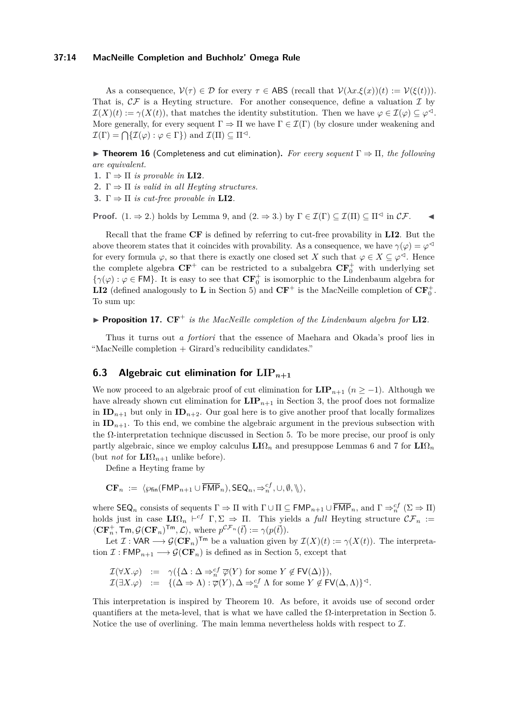#### **37:14 MacNeille Completion and Buchholz' Omega Rule**

As a consequence,  $\mathcal{V}(\tau) \in \mathcal{D}$  for every  $\tau \in \mathsf{ABS}$  (recall that  $\mathcal{V}(\lambda x.\mathcal{E}(x))(t) := \mathcal{V}(\mathcal{E}(t))).$ That is,  $\mathcal{CF}$  is a Heyting structure. For another consequence, define a valuation  $\mathcal I$  by  $\mathcal{I}(X)(t) := \gamma(X(t))$ , that matches the identity substitution. Then we have  $\varphi \in \mathcal{I}(\varphi) \subseteq \varphi^{\triangleleft}$ . More generally, for every sequent  $\Gamma \Rightarrow \Pi$  we have  $\Gamma \in \mathcal{I}(\Gamma)$  (by closure under weakening and  $\mathcal{I}(\Gamma) = \bigcap \{ \mathcal{I}(\varphi) : \varphi \in \Gamma \}$  and  $\mathcal{I}(\Pi) \subseteq \Pi^{\lhd}$ .

**► Theorem 16** (Completeness and cut elimination). For every sequent  $\Gamma \Rightarrow \Pi$ , the following *are equivalent.*

- **1.**  $\Gamma \Rightarrow \Pi$  *is provable in* **LI2***.*
- **2.**  $\Gamma \Rightarrow \Pi$  *is valid in all Heyting structures.*
- **3.**  $\Gamma \Rightarrow \Pi$  *is cut-free provable in* **LI2***.*

**Proof.**  $(1, \Rightarrow 2)$  holds by Lemma [9,](#page-9-0) and  $(2, \Rightarrow 3)$  by  $\Gamma \in \mathcal{I}(\Gamma) \subseteq \mathcal{I}(\Pi) \subseteq \Pi^{\triangleleft}$  in  $\mathcal{CF}$ .

Recall that the frame **CF** is defined by referring to cut-free provability in **LI2**. But the above theorem states that it coincides with provability. As a consequence, we have  $\gamma(\varphi) = \varphi^{\triangleleft}$ for every formula  $\varphi$ , so that there is exactly one closed set *X* such that  $\varphi \in X \subseteq \varphi^{\triangleleft}$ . Hence the complete algebra  $CF^+$  can be restricted to a subalgebra  $CF_0^+$  with underlying set  $\{\gamma(\varphi): \varphi \in FM\}$ . It is easy to see that  $\mathbf{CF}_{0}^{+}$  is isomorphic to the Lindenbaum algebra for **LI2** (defined analogously to **L** in Section 5) and  $CF^+$  is the MacNeille completion of  $CF_0^+$ . To sum up:

**Proposition 17.**  $CF^+$  *is the MacNeille completion of the Lindenbaum algebra for*  $LI2$ *.* 

Thus it turns out *a fortiori* that the essence of Maehara and Okada's proof lies in "MacNeille completion + Girard's reducibility candidates."

# **6.3** Algebraic cut elimination for  $\text{LIP}_{n+1}$

We now proceed to an algebraic proof of cut elimination for  $\text{LIP}_{n+1}$  ( $n \geq -1$ ). Although we have already shown cut elimination for  $\mathbf{LIP}_{n+1}$  in Section 3, the proof does not formalize in  $ID_{n+1}$  but only in  $ID_{n+2}$ . Our goal here is to give another proof that locally formalizes in  $ID_{n+1}$ . To this end, we combine the algebraic argument in the previous subsection with the Ω-interpretation technique discussed in Section 5. To be more precise, our proof is only partly algebraic, since we employ calculus  $LI\Omega_n$  and presuppose Lemmas [6](#page-8-1) and [7](#page-8-2) for  $LI\Omega_n$ (but *not* for  $LI\Omega_{n+1}$  unlike before).

Define a Heyting frame by

$$
\mathbf{CF}_n := \langle \wp_{\mathsf{fin}}(\mathsf{FMP}_{n+1} \cup \overline{\mathsf{FMP}}_n), \mathsf{SEQ}_n, \Rightarrow_n^{cf}, \cup, \emptyset, \mathcal{F} \rangle,
$$

where  $\mathsf{SEQ}_n$  consists of sequents  $\Gamma \Rightarrow \Pi$  with  $\Gamma \cup \Pi \subseteq \mathsf{FMP}_{n+1} \cup \overline{\mathsf{FMP}}_n$ , and  $\Gamma \Rightarrow_n^{cf} (\Sigma \Rightarrow \Pi)$ holds just in case  $LI\Omega_n \vdash^{cf} \Gamma, \Sigma \Rightarrow \Pi$ . This yields a *full* Heyting structure  $\mathcal{CF}_n :=$  $\langle \mathbf{CF}_{n}^{+}, \mathsf{Tm}, \mathcal{G}(\mathbf{CF}_{n})^{\mathsf{Tm}}, \mathcal{L} \rangle$ , where  $p^{\mathcal{CF}_{n}}(\vec{t}) := \gamma(p(\vec{t}))$ .

Let  $\mathcal{I}: \mathsf{VAR} \longrightarrow \mathcal{G}(\mathbf{CF}_n)^{\mathsf{Tm}}$  be a valuation given by  $\mathcal{I}(X)(t) := \gamma(X(t))$ . The interpretation  $\mathcal{I}: \mathsf{FMP}_{n+1} \longrightarrow \mathcal{G}(\mathbf{CF}_n)$  is defined as in Section 5, except that

$$
\begin{array}{rcl}\n\mathcal{I}(\forall X.\varphi) &:=& \gamma(\{\Delta:\Delta\Rightarrow_n^{cf}\overline{\varphi}(Y)\text{ for some }Y\notin\mathsf{FV}(\Delta)\}), \\
\mathcal{I}(\exists X.\varphi) &:=& \{(\Delta\Rightarrow\Lambda):\overline{\varphi}(Y),\Delta\Rightarrow_n^{cf}\Lambda\text{ for some }Y\notin\mathsf{FV}(\Delta,\Lambda)\}^{\lhd}.\n\end{array}
$$

This interpretation is inspired by Theorem [10.](#page-10-0) As before, it avoids use of second order quantifiers at the meta-level, that is what we have called the  $\Omega$ -interpretation in Section 5. Notice the use of overlining. The main lemma nevertheless holds with respect to  $\mathcal{I}$ .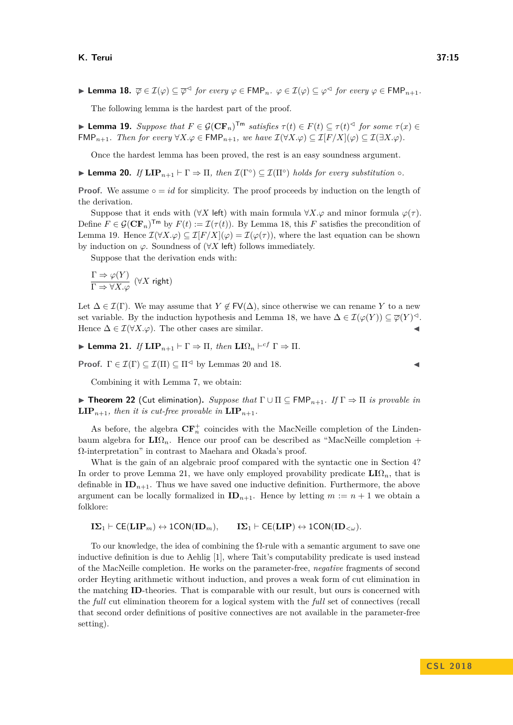<span id="page-14-0"></span> $\blacktriangleright$  **Lemma 18.**  $\overline{\varphi} \in \mathcal{I}(\varphi) \subseteq \overline{\varphi}^{\vartriangleleft}$  for every  $\varphi \in \mathsf{FMP}_n$ .  $\varphi \in \mathcal{I}(\varphi) \subseteq \varphi^{\vartriangleleft}$  for every  $\varphi \in \mathsf{FMP}_{n+1}$ .

The following lemma is the hardest part of the proof.

<span id="page-14-1"></span>**► Lemma 19.** Suppose that  $F \in \mathcal{G}(\mathbf{CF}_n)^{\mathsf{Tm}}$  satisfies  $\tau(t) \in F(t) \subseteq \tau(t)^{\mathsf{d}}$  for some  $\tau(x) \in$ FMP<sub>n+1</sub>*.* Then for every  $\forall X.\varphi \in \text{FMP}_{n+1}$ , we have  $\mathcal{I}(\forall X.\varphi) \subseteq \mathcal{I}[F/X](\varphi) \subseteq \mathcal{I}(\exists X.\varphi)$ .

Once the hardest lemma has been proved, the rest is an easy soundness argument.

<span id="page-14-2"></span>**Lemma 20.** *If*  $\text{LIP}_{n+1} \vdash \Gamma \Rightarrow \Pi$ , then  $\mathcal{I}(\Gamma^{\circ}) \subseteq \mathcal{I}(\Pi^{\circ})$  holds for every substitution  $\circ$ *.* 

**Proof.** We assume  $\circ = id$  for simplicity. The proof proceeds by induction on the length of the derivation.

Suppose that it ends with ( $\forall X$  left) with main formula  $\forall X.\varphi$  and minor formula  $\varphi(\tau)$ . Define  $F \in \mathcal{G}(\mathbf{CF}_n)^{\mathsf{Tm}}$  by  $F(t) := \mathcal{I}(\tau(t))$ . By Lemma [18,](#page-14-0) this F satisfies the precondition of Lemma [19.](#page-14-1) Hence  $\mathcal{I}(\forall X.\varphi) \subseteq \mathcal{I}[F/X](\varphi) = \mathcal{I}(\varphi(\tau))$ , where the last equation can be shown by induction on  $\varphi$ . Soundness of  $(\forall X \in \mathsf{left})$  follows immediately.

Suppose that the derivation ends with:

$$
\frac{\Gamma\Rightarrow\varphi(Y)}{\Gamma\Rightarrow\forall X.\varphi}\ (\forall X\ \text{right})
$$

Let  $\Delta \in \mathcal{I}(\Gamma)$ . We may assume that  $Y \notin F\mathsf{V}(\Delta)$ , since otherwise we can rename *Y* to a new set variable. By the induction hypothesis and Lemma [18,](#page-14-0) we have  $\Delta \in \mathcal{I}(\varphi(Y)) \subseteq \overline{\varphi}(Y)^{\triangleleft}$ . Hence  $\Delta \in \mathcal{I}(\forall X.\varphi)$ . The other cases are similar.

<span id="page-14-3"></span>**I** Lemma 21. *If*  $\text{LIP}_{n+1} \vdash \Gamma \Rightarrow \Pi$ , then  $\text{LIQ}_n \vdash^{cf} \Gamma \Rightarrow \Pi$ .

**Proof.**  $\Gamma \in \mathcal{I}(\Gamma) \subseteq \mathcal{I}(\Pi) \subseteq \Pi^{\lhd}$  by Lemmas [20](#page-14-2) and [18.](#page-14-0)

Combining it with Lemma [7,](#page-8-2) we obtain:

<span id="page-14-4"></span>**► Theorem 22** (Cut elimination). *Suppose that*  $\Gamma \cup \Pi \subseteq \text{FMP}_{n+1}$ . If  $\Gamma \Rightarrow \Pi$  *is provable in* **LIP**<sub>*n*+1</sub>*, then it is cut-free provable in*  $\textbf{LIP}_{n+1}$ *.* 

As before, the algebra  $\mathbf{CF}_{n}^{+}$  coincides with the MacNeille completion of the Lindenbaum algebra for  $LI\Omega_n$ . Hence our proof can be described as "MacNeille completion + Ω-interpretation" in contrast to Maehara and Okada's proof.

What is the gain of an algebraic proof compared with the syntactic one in Section 4? In order to prove Lemma [21,](#page-14-3) we have only employed provability predicate  $LI\Omega_n$ , that is definable in  $ID_{n+1}$ . Thus we have saved one inductive definition. Furthermore, the above argument can be locally formalized in  $ID_{n+1}$ . Hence by letting  $m := n + 1$  we obtain a folklore:

$$
I\Sigma_1 \vdash \mathsf{CE}(\mathbf{LIP}_m) \leftrightarrow \mathsf{1CON}(\mathbf{ID}_m), \qquad I\Sigma_1 \vdash \mathsf{CE}(\mathbf{LIP}) \leftrightarrow \mathsf{1CON}(\mathbf{ID}_{<\omega}).
$$

To our knowledge, the idea of combining the Ω-rule with a semantic argument to save one inductive definition is due to Aehlig [\[1\]](#page-15-5), where Tait's computability predicate is used instead of the MacNeille completion. He works on the parameter-free, *negative* fragments of second order Heyting arithmetic without induction, and proves a weak form of cut elimination in the matching **ID**-theories. That is comparable with our result, but ours is concerned with the *full* cut elimination theorem for a logical system with the *full* set of connectives (recall that second order definitions of positive connectives are not available in the parameter-free setting).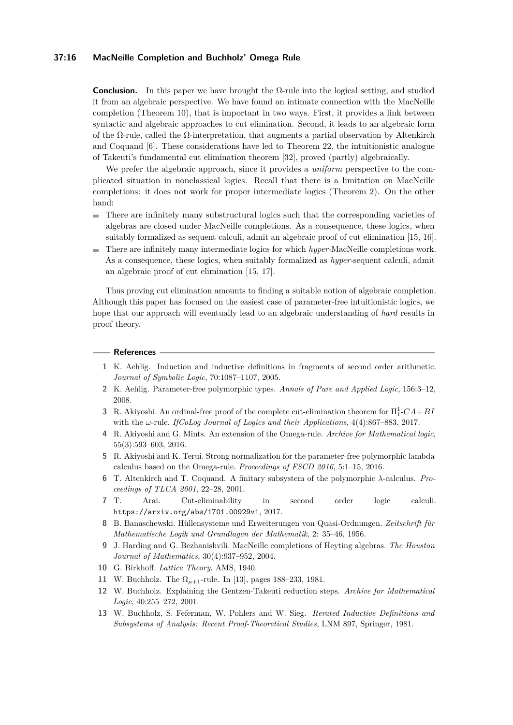#### **37:16 MacNeille Completion and Buchholz' Omega Rule**

**Conclusion.** In this paper we have brought the  $\Omega$ -rule into the logical setting, and studied it from an algebraic perspective. We have found an intimate connection with the MacNeille completion (Theorem [10\)](#page-10-0), that is important in two ways. First, it provides a link between syntactic and algebraic approaches to cut elimination. Second, it leads to an algebraic form of the  $\Omega$ -rule, called the  $\Omega$ -interpretation, that augments a partial observation by Altenkirch and Coquand [\[6\]](#page-15-4). These considerations have led to Theorem [22,](#page-14-4) the intuitionistic analogue of Takeuti's fundamental cut elimination theorem [\[32\]](#page-16-6), proved (partly) algebraically.

We prefer the algebraic approach, since it provides a *uniform* perspective to the complicated situation in nonclassical logics. Recall that there is a limitation on MacNeille completions: it does not work for proper intermediate logics (Theorem [2\)](#page-0-0). On the other hand:

- There are infinitely many substructural logics such that the corresponding varieties of  $\sim$ algebras are closed under MacNeille completions. As a consequence, these logics, when suitably formalized as sequent calculi, admit an algebraic proof of cut elimination [\[15,](#page-16-18) [16\]](#page-16-17).
- There are infinitely many intermediate logics for which *hyper-*MacNeille completions work.  $\blacksquare$ As a consequence, these logics, when suitably formalized as *hyper-*sequent calculi, admit an algebraic proof of cut elimination [\[15,](#page-16-18) [17\]](#page-16-19).

Thus proving cut elimination amounts to finding a suitable notion of algebraic completion. Although this paper has focused on the easiest case of parameter-free intuitionistic logics, we hope that our approach will eventually lead to an algebraic understanding of *hard* results in proof theory.

#### **References**

- <span id="page-15-5"></span>**1** K. Aehlig. Induction and inductive definitions in fragments of second order arithmetic. *Journal of Symbolic Logic*, 70:1087–1107, 2005.
- <span id="page-15-11"></span>**2** K. Aehlig. Parameter-free polymorphic types. *Annals of Pure and Applied Logic*, 156:3–12, 2008.
- <span id="page-15-3"></span>**3** R. Akiyoshi. An ordinal-free proof of the complete cut-elimination theorem for Π<sup>1</sup> 1 -*CA*+*BI* with the *ω*-rule. *IfCoLog Journal of Logics and their Applications*, 4(4):867–883, 2017.
- <span id="page-15-2"></span>**4** R. Akiyoshi and G. Mints. An extension of the Omega-rule. *Archive for Mathematical logic*, 55(3):593–603, 2016.
- <span id="page-15-10"></span>**5** R. Akiyoshi and K. Terui. Strong normalization for the parameter-free polymorphic lambda calculus based on the Omega-rule. *Proceedings of FSCD 2016*, 5:1–15, 2016.
- <span id="page-15-4"></span>**6** T. Altenkirch and T. Coquand. A finitary subsystem of the polymorphic *λ*-calculus. *Proceedings of TLCA 2001*, 22–28, 2001.
- <span id="page-15-9"></span>**7** T. Arai. Cut-eliminability in second order logic calculi. https://arxiv.org/abs/1701.00929v1, 2017.
- <span id="page-15-6"></span>**8** B. Banaschewski. Hüllensysteme und Erweiterungen von Quasi-Ordnungen. *Zeitschrift für Mathematische Logik und Grundlagen der Mathematik*, 2: 35–46, 1956.
- <span id="page-15-7"></span>**9** J. Harding and G. Bezhanishvili. MacNeille completions of Heyting algebras. *The Houston Journal of Mathematics*, 30(4):937–952, 2004.
- <span id="page-15-12"></span>**10** G. Birkhoff. *Lattice Theory*. AMS, 1940.
- <span id="page-15-0"></span>**11** W. Buchholz. The Ω*<sup>µ</sup>*+1-rule. In [\[13\]](#page-15-8), pages 188–233, 1981.
- <span id="page-15-1"></span>**12** W. Buchholz. Explaining the Gentzen-Takeuti reduction steps. *Archive for Mathematical Logic*, 40:255–272, 2001.
- <span id="page-15-8"></span>**13** W. Buchholz, S. Feferman, W. Pohlers and W. Sieg. *Iterated Inductive Definitions and Subsystems of Analysis: Recent Proof-Theoretical Studies*, LNM 897, Springer, 1981.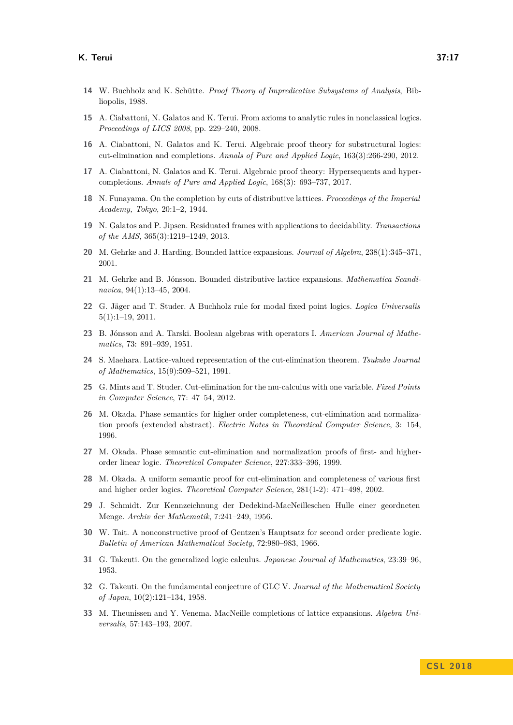- <span id="page-16-1"></span>**14** W. Buchholz and K. Schütte. *Proof Theory of Impredicative Subsystems of Analysis*, Bibliopolis, 1988.
- <span id="page-16-18"></span>**15** A. Ciabattoni, N. Galatos and K. Terui. From axioms to analytic rules in nonclassical logics. *Proceedings of LICS 2008*, pp. 229–240, 2008.
- <span id="page-16-17"></span>**16** A. Ciabattoni, N. Galatos and K. Terui. Algebraic proof theory for substructural logics: cut-elimination and completions. *Annals of Pure and Applied Logic*, 163(3):266-290, 2012.
- <span id="page-16-19"></span>**17** A. Ciabattoni, N. Galatos and K. Terui. Algebraic proof theory: Hypersequents and hypercompletions. *Annals of Pure and Applied Logic*, 168(3): 693–737, 2017.
- <span id="page-16-11"></span>**18** N. Funayama. On the completion by cuts of distributive lattices. *Proceedings of the Imperial Academy, Tokyo*, 20:1–2, 1944.
- <span id="page-16-16"></span>**19** N. Galatos and P. Jipsen. Residuated frames with applications to decidability. *Transactions of the AMS*, 365(3):1219–1249, 2013.
- <span id="page-16-10"></span>**20** M. Gehrke and J. Harding. Bounded lattice expansions. *Journal of Algebra*, 238(1):345–371, 2001.
- <span id="page-16-9"></span>**21** M. Gehrke and B. Jónsson. Bounded distributive lattice expansions. *Mathematica Scandinavica*, 94(1):13–45, 2004.
- <span id="page-16-14"></span>**22** G. Jäger and T. Studer. A Buchholz rule for modal fixed point logics. *Logica Universalis* 5(1):1–19, 2011.
- <span id="page-16-8"></span>**23** B. Jónsson and A. Tarski. Boolean algebras with operators I. *American Journal of Mathematics*, 73: 891–939, 1951.
- <span id="page-16-2"></span>**24** S. Maehara. Lattice-valued representation of the cut-elimination theorem. *Tsukuba Journal of Mathematics*, 15(9):509–521, 1991.
- <span id="page-16-15"></span>**25** G. Mints and T. Studer. Cut-elimination for the mu-calculus with one variable. *Fixed Points in Computer Science*, 77: 47–54, 2012.
- <span id="page-16-3"></span>**26** M. Okada. Phase semantics for higher order completeness, cut-elimination and normalization proofs (extended abstract). *Electric Notes in Theoretical Computer Science*, 3: 154, 1996.
- <span id="page-16-5"></span>**27** M. Okada. Phase semantic cut-elimination and normalization proofs of first- and higherorder linear logic. *Theoretical Computer Science*, 227:333–396, 1999.
- <span id="page-16-4"></span>**28** M. Okada. A uniform semantic proof for cut-elimination and completeness of various first and higher order logics. *Theoretical Computer Science*, 281(1-2): 471–498, 2002.
- <span id="page-16-7"></span>**29** J. Schmidt. Zur Kennzeichnung der Dedekind-MacNeilleschen Hulle einer geordneten Menge. *Archiv der Mathematik*, 7:241–249, 1956.
- <span id="page-16-0"></span>**30** W. Tait. A nonconstructive proof of Gentzen's Hauptsatz for second order predicate logic. *Bulletin of American Mathematical Society*, 72:980–983, 1966.
- <span id="page-16-13"></span>**31** G. Takeuti. On the generalized logic calculus. *Japanese Journal of Mathematics*, 23:39–96, 1953.
- <span id="page-16-6"></span>**32** G. Takeuti. On the fundamental conjecture of GLC V. *Journal of the Mathematical Society of Japan*, 10(2):121–134, 1958.
- <span id="page-16-12"></span>**33** M. Theunissen and Y. Venema. MacNeille completions of lattice expansions. *Algebra Universalis*, 57:143–193, 2007.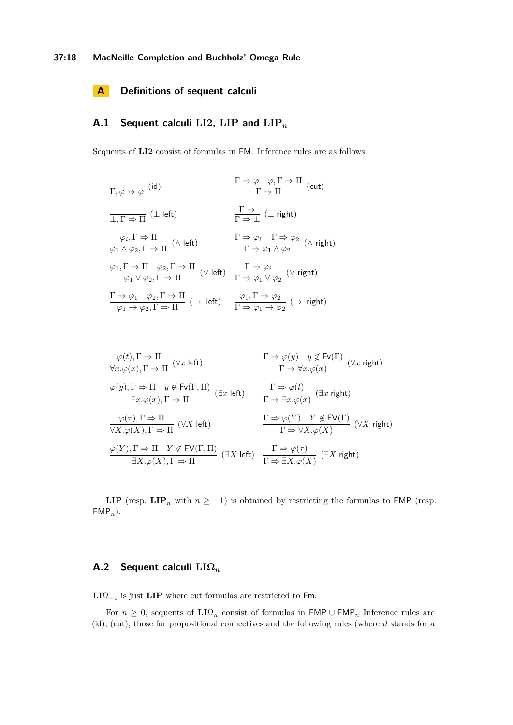## **A Definitions of sequent calculi**

# **A.1 Sequent calculi LI2, LIP and LIP***<sup>n</sup>*

Sequents of **LI2** consist of formulas in FM. Inference rules are as follows:

$$
\frac{\Gamma \Rightarrow \varphi \quad \varphi, \Gamma \Rightarrow \Pi}{\Gamma \Rightarrow \Pi} \text{ (cut)}
$$
\n
$$
\frac{\Gamma \Rightarrow \varphi \quad \varphi, \Gamma \Rightarrow \Pi}{\Gamma \Rightarrow \Pi} \text{ (cut)}
$$
\n
$$
\frac{\varphi_i, \Gamma \Rightarrow \Pi}{\varphi_1 \land \varphi_2, \Gamma \Rightarrow \Pi} \text{ (A left)}
$$
\n
$$
\frac{\Gamma \Rightarrow \varphi_1 \quad \Gamma \Rightarrow \varphi_2}{\Gamma \Rightarrow \varphi_1 \land \varphi_2} \text{ (A right)}
$$
\n
$$
\frac{\varphi_1, \Gamma \Rightarrow \Pi \quad \varphi_2, \Gamma \Rightarrow \Pi}{\varphi_1 \lor \varphi_2, \Gamma \Rightarrow \Pi} \text{ (V left)}
$$
\n
$$
\frac{\Gamma \Rightarrow \varphi_i}{\Gamma \Rightarrow \varphi_1 \lor \varphi_2} \text{ (V right)}
$$
\n
$$
\frac{\Gamma \Rightarrow \varphi_1 \quad \varphi_2, \Gamma \Rightarrow \Pi}{\varphi_1 \lor \varphi_2, \Gamma \Rightarrow \Pi} \text{ (V left)}
$$
\n
$$
\frac{\varphi_1, \Gamma \Rightarrow \varphi_2}{\Gamma \Rightarrow \varphi_1 \lor \varphi_2} \text{ (V right)}
$$
\n
$$
\frac{\varphi_1, \Gamma \Rightarrow \varphi_2}{\Gamma \Rightarrow \varphi_1 \lor \varphi_2} \text{ (d right)}
$$

$$
\frac{\varphi(t), \Gamma \Rightarrow \Pi}{\forall x. \varphi(x), \Gamma \Rightarrow \Pi} \quad (\forall x \text{ left}) \qquad \frac{\Gamma \Rightarrow \varphi(y) \quad y \notin \text{Fv}(\Gamma)}{\Gamma \Rightarrow \forall x. \varphi(x)} \quad (\forall x \text{ right})
$$
\n
$$
\frac{\varphi(y), \Gamma \Rightarrow \Pi \quad y \notin \text{Fv}(\Gamma, \Pi)}{\exists x. \varphi(x), \Gamma \Rightarrow \Pi} \quad (\exists x \text{ left}) \qquad \frac{\Gamma \Rightarrow \varphi(t)}{\Gamma \Rightarrow \exists x. \varphi(x)} \quad (\exists x \text{ right})
$$
\n
$$
\frac{\varphi(\tau), \Gamma \Rightarrow \Pi}{\forall X. \varphi(X), \Gamma \Rightarrow \Pi} \quad (\forall X \text{ left}) \qquad \frac{\Gamma \Rightarrow \varphi(Y)}{\Gamma \Rightarrow \forall X. \varphi(X)} \quad (\forall X \text{ right})
$$
\n
$$
\frac{\varphi(Y), \Gamma \Rightarrow \Pi \quad Y \notin \text{FV}(\Gamma, \Pi)}{\exists X. \varphi(X), \Gamma \Rightarrow \Pi} \quad (\exists X \text{ left}) \qquad \frac{\Gamma \Rightarrow \varphi(\tau)}{\Gamma \Rightarrow \exists X. \varphi(X)} \quad (\exists X \text{ right})
$$

**LIP** (resp. **LIP**<sub>n</sub> with  $n \ge -1$ ) is obtained by restricting the formulas to FMP (resp. FMP*n*).

## **A.2 Sequent calculi LIΩ***<sup>n</sup>*

**LI**Ω<sup>−</sup><sup>1</sup> is just **LIP** where cut formulas are restricted to Fm.

For  $n \geq 0$ , sequents of  $\mathbf{L} \Omega_n$  consist of formulas in  $\mathsf{FMP} \cup \overline{\mathsf{FMP}}_n$  Inference rules are (id), (cut), those for propositional connectives and the following rules (where  $\vartheta$  stands for a